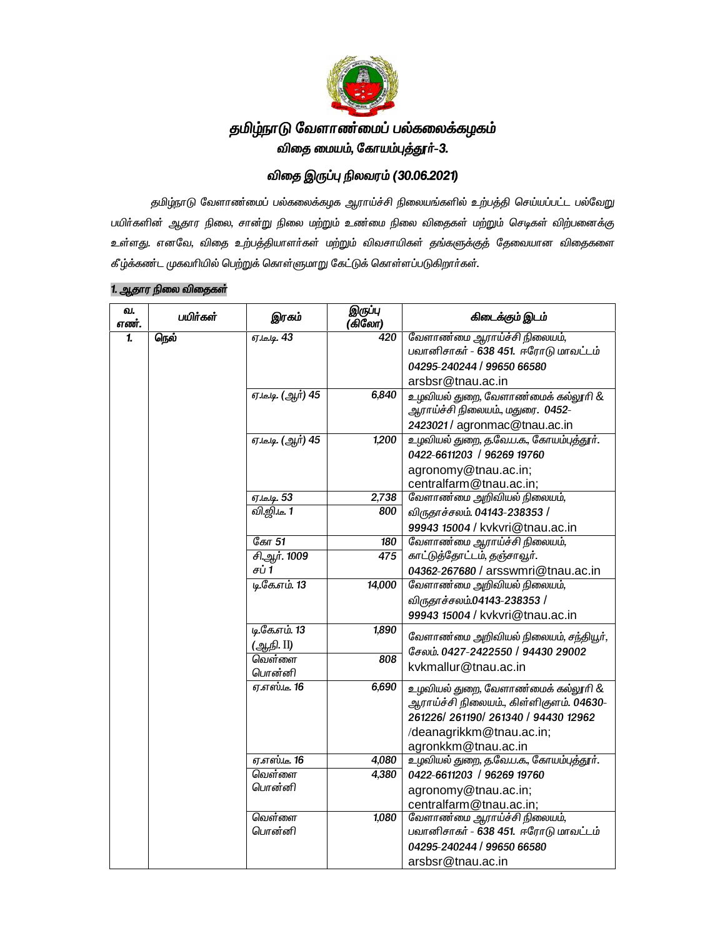

# தமிழ்நாடு வேளாண்மைப் பல்கலைக்கழகம் விதை மையம், கோயம்புத்தூர்–3.

## விதை இருப்பு நிலவரம் (30.06.2021)

தமிழ்நாடு வேளாண்மைப் பல்கலைக்கழக ஆராய்ச்சி நிலையங்களில் உற்பத்தி செய்யப்பட்ட பல்வேறு பயிர்களின் ஆதார நிலை, சான்று நிலை மற்றும் உண்மை நிலை விதைகள் மற்றும் செடிகள் விற்பனைக்கு உள்ளது. எனவே, விதை உற்பத்தியாளர்கள் மற்றும் விவசாயிகள் தங்களுக்குத் தேவையான விதைகளை கீழ்க்கண்ட முகவரியில் பெற்றுக் கொள்ளுமாறு கேட்டுக் கொள்ளப்படுகிறார்கள்.

| வ.<br>எண். | பயிர்கள் | இரகம்                           | இருப்பு<br>(கிலோ) | கிடைக்கும் இடம்                         |
|------------|----------|---------------------------------|-------------------|-----------------------------------------|
| 1.         | நெல்     | <b>ஏ.டி. 43</b>                 | 420               | வேளாண்மை ஆராய்ச்சி நிலையம்,             |
|            |          |                                 |                   | பவானிசாகர் - 638 451. ஈரோடு மாவட்டம்    |
|            |          |                                 |                   | 04295-240244 / 99650 66580              |
|            |          |                                 |                   | arsbsr@tnau.ac.in                       |
|            |          | ஏ.டீ.டி. (ஆர் <mark>) 45</mark> | 6,840             | உழவியல் துறை, வேளாண்மைக் கல்லூரி &      |
|            |          |                                 |                   | ஆராய்ச்சி நிலையம்., மதுரை.  0452-       |
|            |          |                                 |                   | 2423021 / agronmac@tnau.ac.in           |
|            |          | ஏ.டீ.டி. (ஆர்) 45               | 1,200             | உழவியல் துறை, த.வே.ப.க., கோயம்புத்தூர். |
|            |          |                                 |                   | 0422-6611203 / 96269 19760              |
|            |          |                                 |                   | agronomy@tnau.ac.in;                    |
|            |          |                                 |                   | centralfarm@tnau.ac.in;                 |
|            |          | ஏ.டீ.டி. 53                     | 2,738             | வேளாண்மை அறிவியல் நிலையம்,              |
|            |          | <u>வி.ஜி.டீ. 1</u>              | 800               | விருதாச்சலம். 04143-238353 /            |
|            |          |                                 |                   | 99943 15004 / kvkvri@tnau.ac.in         |
|            |          | கோ 51                           | 180               | வேளாண்மை ஆராய்ச்சி நிலையம்,             |
|            |          | சி.ஆர். 1009                    | 475               | காட்டுத்தோட்டம், தஞ்சாவூர்.             |
|            |          | சப் 1                           |                   | 04362-267680 / arsswmri@tnau.ac.in      |
|            |          | <u>டிகோம்.</u> 13               | 14,000            | வேளாண்மை அறிவியல் நிலையம்,              |
|            |          |                                 |                   | விருதாச்சலம்.04143-238353 /             |
|            |          |                                 |                   | 99943 15004 / kvkvri@tnau.ac.in         |
|            |          | டி.கே.எம். 13                   | 1,890             | வேளாண்மை அறிவியல் நிலையம், சந்தியூர்,   |
|            |          | (ஆநி. II)                       |                   | சேலம். 0427-2422550 / 94430 29002       |
|            |          | வெள்ளை                          | 808               | kvkmallur@tnau.ac.in                    |
|            |          | பொன்னி                          |                   |                                         |
|            |          | <i>ஏ.எஸ்.டீ.</i> 16             | 6,690             | உழவியல் துறை, வேளாண்மைக் கல்லூரி &      |
|            |          |                                 |                   | ஆராய்ச்சி நிலையம்., கிள்ளிகுளம். 04630- |
|            |          |                                 |                   | 261226/261190/261340 / 94430 12962      |
|            |          |                                 |                   | /deanagrikkm@tnau.ac.in;                |
|            |          |                                 |                   | agronkkm@tnau.ac.in                     |
|            |          | <i>ஏ.எஸ்.டீ.</i> 16             | 4,080             | உழவியல் துறை, த.வே.ப.க., கோயம்புத்தூர். |
|            |          | வெள்ளை                          | 4,380             | 0422-6611203 / 96269 19760              |
|            |          | பொன்னி                          |                   | agronomy@tnau.ac.in;                    |
|            |          |                                 |                   | centralfarm@tnau.ac.in;                 |
|            |          | வெள்ளை                          | 1,080             | வேளாண்மை ஆராய்ச்சி நிலையம்,             |
|            |          | பொன்னி                          |                   | பவானிசாகர் - 638 451. ஈரோடு மாவட்டம்    |
|            |          |                                 |                   | 04295-240244 / 99650 66580              |
|            |          |                                 |                   | arsbsr@tnau.ac.in                       |

#### 1. ஆ*தார நிலை விதைகள்*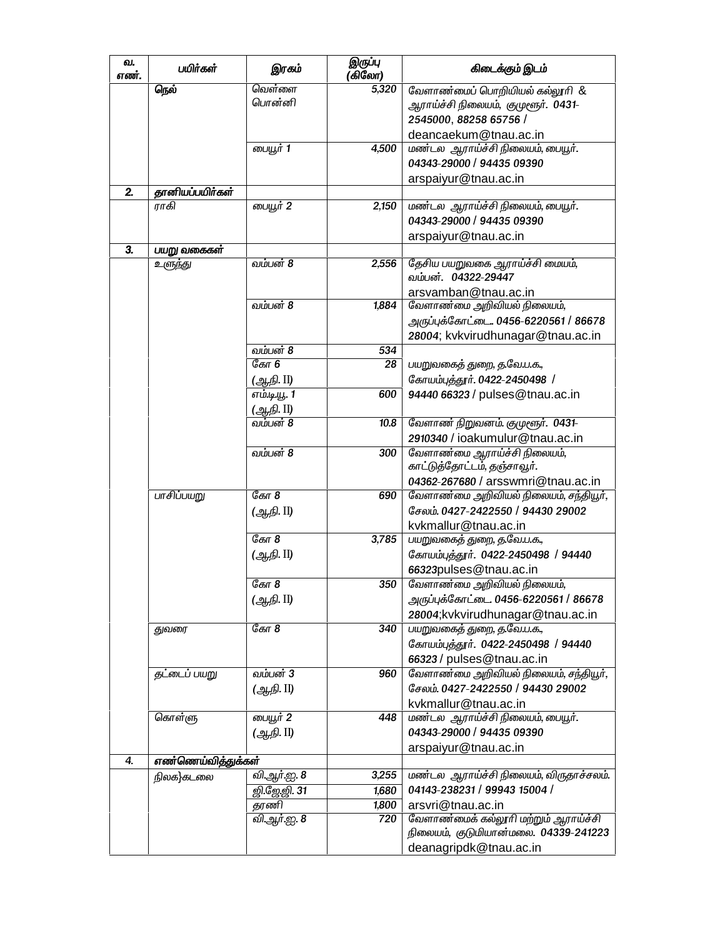| வ.<br>எண். | பயிர்கள்           | இரகம்        | இருப்பு<br>(கிலோ) | கிடைக்கும் இடம்                        |
|------------|--------------------|--------------|-------------------|----------------------------------------|
|            | நெல்               | வெள்ளை       | 5,320             | வேளாண்மைப் பொறியியல் கல்லூரி &         |
|            |                    | பொன்னி       |                   | ஆராய்ச்சி நிலையம், குமுளூர். 0431-     |
|            |                    |              |                   | 2545000, 88258 65756 /                 |
|            |                    |              |                   | deancaekum@tnau.ac.in                  |
|            |                    | பையூர் 1     | 4,500             | மண்டல ஆராய்ச்சி நிலையம், பையூர்.       |
|            |                    |              |                   | 04343-29000 / 94435 09390              |
|            |                    |              |                   | arspaiyur@tnau.ac.in                   |
| 2.         | தானியப்பயிர்கள்    |              |                   |                                        |
|            | ராகி               | பையூர் 2     | 2,150             | மண்டல ஆராய்ச்சி நிலையம், பையூர்.       |
|            |                    |              |                   | 04343-29000 / 94435 09390              |
|            |                    |              |                   |                                        |
| 3.         |                    |              |                   | arspaiyur@tnau.ac.in                   |
|            | பயறு வகைகள்        |              |                   |                                        |
|            | உளுந்து            | வம்பன் 8     | 2,556             | தேசிய பயறுவகை ஆராய்ச்சி மையம்,         |
|            |                    |              |                   | வம்பன். 04322-29447                    |
|            |                    |              |                   | arsvamban@tnau.ac.in                   |
|            |                    | வம்பன் 8     | 1,884             | வேளாண்மை அறிவியல் நிலையம்,             |
|            |                    |              |                   | அருப்புக்கோட்டை. 0456-6220561 / 86678  |
|            |                    |              |                   | 28004; kvkvirudhunagar@tnau.ac.in      |
|            |                    | வம்பன் 8     | 534               |                                        |
|            |                    | ேகா $6$      | 28                | பயறுவகைத் துறை, த.வே.ப.க.,             |
|            |                    | (ஆநி. II)    |                   | கோயம்புத்தூர். 0422-2450498 /          |
|            |                    | எம்.டி.யூ. 1 | 600               | 94440 66323 / pulses@tnau.ac.in        |
|            |                    | (ஆநி. II)    |                   |                                        |
|            |                    | வம்பன் 8     | 10.8              | வேளாண் நிறுவனம். குமுளூர். 0431-       |
|            |                    |              |                   | 2910340 / ioakumulur@tnau.ac.in        |
|            |                    |              |                   |                                        |
|            |                    | வம்பன் 8     | 300               | வேளாண்மை ஆராய்ச்சி நிலையம்,            |
|            |                    |              |                   | காட்டுத்தோட்டம், தஞ்சாவூர்.            |
|            |                    |              |                   | 04362-267680 / arsswmri@tnau.ac.in     |
|            | பாசிப்பயறு         | ேகா $8$      | 690               | வேளாண்மை அறிவியல் நிலையம், சந்தியூர்,  |
|            |                    | (ஆ.நி. II)   |                   | சேலம். 0427-2422550 / 94430 29002      |
|            |                    |              |                   | kvkmallur@tnau.ac.in                   |
|            |                    | ேகா $8$      | 3,785             | பயறுவகைத் துறை, த.வே.ப.க.,             |
|            |                    | (ஆநி. II)    |                   | கோயம்புத்தூர். 0422-2450498 / 94440    |
|            |                    |              |                   | 66323pulses@tnau.ac.in                 |
|            |                    | ேகா $8$      | 350               | வேளாண்மை அறிவியல் நிலையம்,             |
|            |                    |              |                   |                                        |
|            |                    | (ஆ.நி. II)   |                   | அருப்புக்கோட்டை 0456-6220561 / 86678   |
|            |                    |              |                   | 28004;kvkvirudhunagar@tnau.ac.in       |
|            | துவரை              | கோ 8         | 340               | பயறுவகைத் துறை, த.வே.ப.க.,             |
|            |                    |              |                   | கோயம்புத்தூர். 0422-2450498 / 94440    |
|            |                    |              |                   | 66323 / pulses@tnau.ac.in              |
|            | தட்டைப் பயறு       | வம்பன் 3     | 960               | வேளாண்மை அறிவியல் நிலையம், சந்தியூர்,  |
|            |                    | (ஆ.நி. II)   |                   | சேலம், 0427-2422550 / 94430 29002      |
|            |                    |              |                   | kvkmallur@tnau.ac.in                   |
|            | கொள்ளு             | பையூர் 2     | 448               | மண்டல ஆராய்ச்சி நிலையம், பையூர்.       |
|            |                    | (ஆ.நி. II)   |                   | 04343-29000 / 94435 09390              |
|            |                    |              |                   |                                        |
| 4.         | எண்ணெய்வித்துக்கள் |              |                   | arspaiyur@tnau.ac.in                   |
|            |                    |              |                   |                                        |
|            | நிலக}கடலை          | வி.ஆர்.ஐ. 8  | 3,255             | மண்டல ஆராய்ச்சி நிலையம், விருதாச்சலம். |
|            |                    | ஜி.ஜே.ஜி. 31 | 1,680             | 04143-238231 / 99943 15004 /           |
|            |                    | தரணி         | 1,800             | arsvri@tnau.ac.in                      |
|            |                    | வி.ஆர்.ஐ. 8  | 720               | வேளாண்மைக் கல்லூரி மற்றும் ஆராய்ச்சி   |
|            |                    |              |                   | நிலையம், குடுமியான்மலை. 04339-241223   |
|            |                    |              |                   | deanagripdk@tnau.ac.in                 |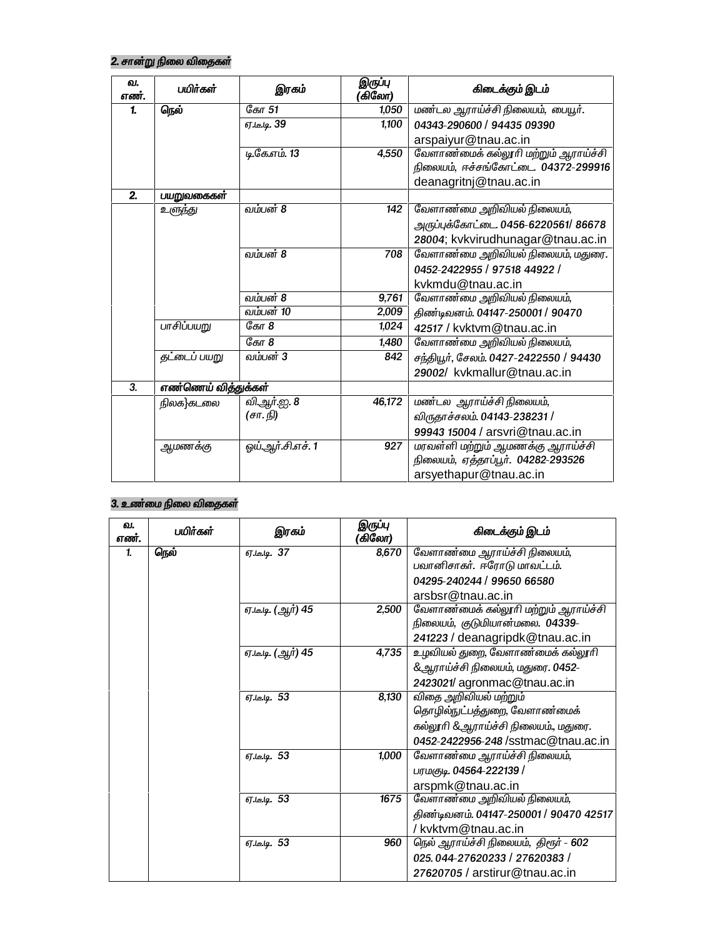# 2. சான்று நிலை விதைகள்

| வ.<br>எண். | பயிர்கள்            | இரகம்             | இருப்பு<br>(கிலோ) | கிடைக்கும் இடம்                                                             |
|------------|---------------------|-------------------|-------------------|-----------------------------------------------------------------------------|
| 1.         | நெல்                | கோ 51             | 1,050             | மண்டல ஆராய்ச்சி நிலையம், பையூர்.                                            |
|            |                     | ஏ.டீ.டி. 39       | 1,100             | 04343-290600 / 94435 09390                                                  |
|            |                     |                   |                   | arspaiyur@tnau.ac.in                                                        |
|            |                     | டி.கே.எம். 13     | 4,550             | வேளாண்மைக் கல்லூரி மற்றும் ஆராய்ச்சி<br>நிலையம், ஈச்சங்கோட்டை. 04372-299916 |
|            |                     |                   |                   | deanagritnj@tnau.ac.in                                                      |
| 2.         | பயறுவகைகள்          |                   |                   |                                                                             |
|            | உளுந்து             | வம்பன் 8          | 142               | வேளாண்மை அறிவியல் நிலையம்,                                                  |
|            |                     |                   |                   | அருப்புக்கோட்டை. 0456-6220561/ 86678                                        |
|            |                     |                   |                   | 28004; kvkvirudhunagar@tnau.ac.in                                           |
|            |                     | வம்பன் 8          | 708               | வேளாண்மை அறிவியல் நிலையம், மதுரை.                                           |
|            |                     |                   |                   | 0452-2422955 / 97518 44922 /                                                |
|            |                     |                   |                   | kvkmdu@tnau.ac.in                                                           |
|            |                     | வம்பன் 8          | 9,761             | வேளாண்மை அறிவியல் நிலையம்,                                                  |
|            |                     | வம்பன் 10         | 2,009             | திண்டிவனம். 04147-250001 / 90470                                            |
|            | பாசிப்பயறு          | கோ 8              | 1,024             | 42517 / kvktvm@tnau.ac.in                                                   |
|            |                     | கோ 8              | 1,480             | வேளாண்மை அறிவியல் நிலையம்,                                                  |
|            | தட்டைப் பயறு        | வம்பன் 3          | 842               | சந்தியூர், சேலம். 0427-2422550 / 94430                                      |
|            |                     |                   |                   | 29002/ kvkmallur@tnau.ac.in                                                 |
| 3.         | எண்ணெய் வித்துக்கள் |                   |                   |                                                                             |
|            | நிலக}கடலை           | வி.ஆர்.ஐ. 8       | 46,172            | மண்டல ஆராய்ச்சி நிலையம்,                                                    |
|            |                     | (சா. நி)          |                   | விருதாச்சலம். 04143-238231 /                                                |
|            |                     |                   |                   | 99943 15004 / arsvri@tnau.ac.in                                             |
|            | ஆமணக்கு             | ஒய்.ஆர்.சி.எச். 1 | 927               | மரவள்ளி மற்றும் ஆமணக்கு ஆராய்ச்சி                                           |
|            |                     |                   |                   | நிலையம், ஏத்தாப்பூர். 04282-293526                                          |
|            |                     |                   |                   | arsyethapur@tnau.ac.in                                                      |

## 3. உண்மை நிலை விதைகள்

| வ.<br>எண். | பயிர்கள் | இரகம்              | இருப்பு<br>(கிலோ) | கிடைக்கும் இடம்                        |
|------------|----------|--------------------|-------------------|----------------------------------------|
| 1.         | நெல்     | ஏ.டீ.டி. 37        | 8,670             | வேளாண்மை ஆராய்ச்சி நிலையம்,            |
|            |          |                    |                   | பவானிசாகர். ஈரோடு மாவட்டம்.            |
|            |          |                    |                   | 04295-240244 / 99650 66580             |
|            |          |                    |                   | arsbsr@tnau.ac.in                      |
|            |          | ஏ.டீ.டி. (ஆர்) 45  | 2,500             | வேளாண்மைக் கல்லூரி மற்றும் ஆராய்ச்சி   |
|            |          |                    |                   | நிலையம், குடுமியான்மலை. 04339-         |
|            |          |                    |                   | 241223 / deanagripdk@tnau.ac.in        |
|            |          | ஏ.டீ.டி. (ஆர்) 45  | 4,735             | உழவியல் துறை, வேளாண்மைக் கல்லூரி       |
|            |          |                    |                   | &ஆராய்ச்சி நிலையம், மதுரை. 0452-       |
|            |          |                    |                   | 2423021/agronmac@tnau.ac.in            |
|            |          | ஏ.டீ.டி. 53        | 8,130             | விதை அறிவியல் மற்றும்                  |
|            |          |                    |                   | தொழில்நுட்பத்துறை, வேளாண்மைக்          |
|            |          |                    |                   | கல்லூரி &ஆராய்ச்சி நிலையம்., மதுரை.    |
|            |          |                    |                   | 0452-2422956-248 /sstmac@tnau.ac.in    |
|            |          | ஏ.டீ.டி. 53        | 1,000             | வேளாண்மை ஆராய்ச்சி நிலையம்,            |
|            |          |                    |                   | பரமகுடி. 04564-222139 /                |
|            |          |                    |                   | arspmk@tnau.ac.in                      |
|            |          | ஏ.டீ.டி. 53        | 1675              | வேளாண்மை அறிவியல் நிலையம்,             |
|            |          |                    |                   | திண்டிவனம். 04147-250001 / 90470 42517 |
|            |          |                    |                   | /kvktvm@tnau.ac.in                     |
|            |          | <b>ஏ.டீ.டி. 53</b> | 960               | நெல் ஆராய்ச்சி நிலையம், திரூர் - 602   |
|            |          |                    |                   | 025.044-27620233 / 27620383 /          |
|            |          |                    |                   | 27620705 / arstirur@tnau.ac.in         |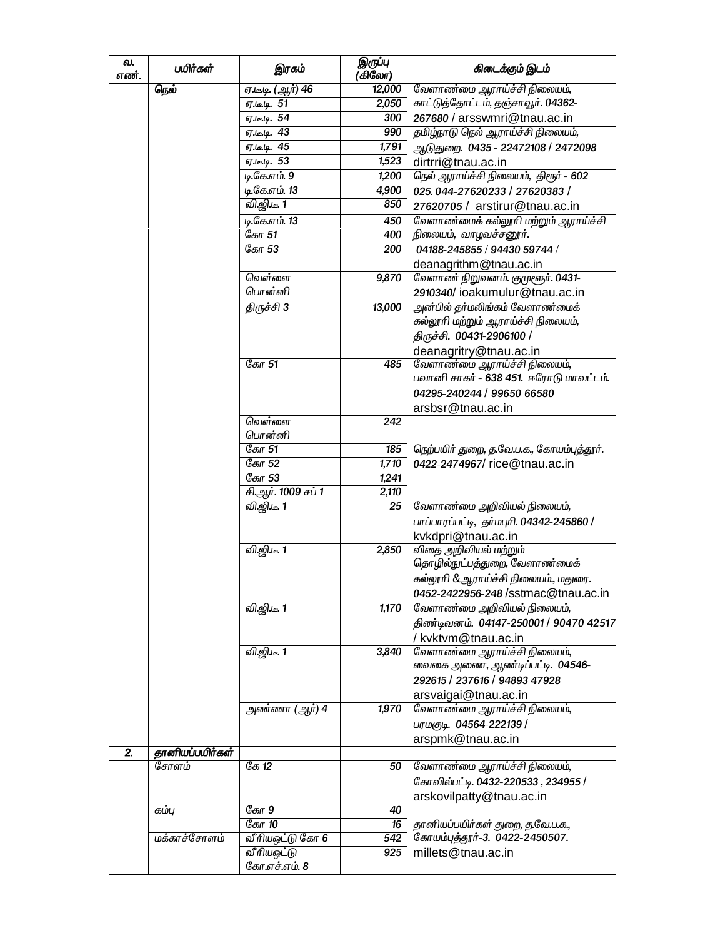| வ.<br>எண். | பயிர்கள்        | இரகம்                           | இருப்பு<br>(கிலோ) | கிடைக்கும் இடம்                           |
|------------|-----------------|---------------------------------|-------------------|-------------------------------------------|
|            | நெல்            | ஏ.டீ.டி. (ஆர் <mark>) 46</mark> | 12,000            | வேளாண்மை ஆராய்ச்சி நிலையம்,               |
|            |                 | ஏ.டீ.டி. 51                     | 2,050             | காட்டுத்தோட்டம், தஞ்சாவூர். 04362-        |
|            |                 | 67 lelg. 54                     | 300               | 267680 / arsswmri@tnau.ac.in              |
|            |                 | ஏ.டீ.டி. 43                     | 990               | தமிழ்நாடு நெல் ஆராய்ச்சி நிலையம்,         |
|            |                 | ஏ.டீ.டி. 45                     | 1,791             | ஆடுதுறை. 0435 - 22472108 / 2472098        |
|            |                 | ஏ.டீ.டி. 53                     | 1,523             | dirtrri@tnau.ac.in                        |
|            |                 | டி.கே.எம். 9                    | 1,200             | நெல் ஆராய்ச்சி நிலையம், திரூர் - 602      |
|            |                 | டி.கே.எம். 13                   | 4,900             | 025.044-27620233 / 27620383 /             |
|            |                 | வி.ஜி.டீ. 1                     | 850               | 27620705 / arstirur@tnau.ac.in            |
|            |                 | டி.கே.எம். 13                   | 450               | வேளாண்மைக் கல்லூரி மற்றும் ஆராய்ச்சி      |
|            |                 | கோ 51                           | 400               | நிலையம், வாழவச்சனூர்.                     |
|            |                 | கோ 53                           | 200               | 04188-245855 / 94430 59744 /              |
|            |                 |                                 |                   | deanagrithm@tnau.ac.in                    |
|            |                 | வெள்ளை                          | 9,870             | வேளாண் நிறுவனம். குமுளூர். 0431-          |
|            |                 | பொன்னி                          |                   | 2910340/ioakumulur@tnau.ac.in             |
|            |                 | திருச்சி 3                      | 13,000            | அன்பில் தா்மலிங்கம் வேளாண்மைக்            |
|            |                 |                                 |                   | கல்லூரி மற்றும் ஆராய்ச்சி நிலையம்,        |
|            |                 |                                 |                   | திருச்சி. 00431-2906100 /                 |
|            |                 |                                 |                   | deanagritry@tnau.ac.in                    |
|            |                 | கோ 51                           | 485               | வேளாண்மை ஆராய்ச்சி நிலையம்,               |
|            |                 |                                 |                   | பவானி சாகர் - 638 451. ஈரோடு மாவட்டம்.    |
|            |                 |                                 |                   | 04295-240244 / 99650 66580                |
|            |                 |                                 |                   |                                           |
|            |                 | வெள்ளை                          | 242               | arsbsr@tnau.ac.in                         |
|            |                 | பொன்னி                          |                   |                                           |
|            |                 | கோ 51                           |                   |                                           |
|            |                 |                                 | 185               | நெற்பயிர் துறை, த.வே.ப.க., கோயம்புத்தூர். |
|            |                 | கோ 52<br>கோ 53                  | 1,710             | 0422-2474967/rice@tnau.ac.in              |
|            |                 |                                 | 1,241             |                                           |
|            |                 | சி.ஆர். 1009 சப் 1              | 2,110             |                                           |
|            |                 | வி.ஜி.டீ. 1                     | 25                | வேளாண்மை அறிவியல் நிலையம்,                |
|            |                 |                                 |                   | பாப்பாரப்பட்டி, தர்மபுரி. 04342-245860 /  |
|            |                 |                                 |                   | kvkdpri@tnau.ac.in                        |
|            |                 | வி.ஜி.டீ. 1                     | 2,850             | விதை அறிவியல் மற்றும்                     |
|            |                 |                                 |                   | தொழில்நுட்பத்துறை, வேளாண்மைக்             |
|            |                 |                                 |                   | கல்லூரி &ஆராய்ச்சி நிலையம்., மதுரை.       |
|            |                 |                                 |                   | 0452-2422956-248 /sstmac@tnau.ac.in       |
|            |                 | <u>வி.ஜி.டீ. 1</u>              | 1,170             | வேளாண்மை அறிவியல் நிலையம்,                |
|            |                 |                                 |                   | திண்டிவனம். 04147-250001 / 90470 42517    |
|            |                 |                                 |                   | / kvktvm@tnau.ac.in                       |
|            |                 | வி.ஜி.டீ. 1                     | 3,840             | வேளாண்மை ஆராய்ச்சி நிலையம்,               |
|            |                 |                                 |                   | வைகை அணை, ஆண்டிப்பட்டி. 04546-            |
|            |                 |                                 |                   | 292615 / 237616 / 94893 47928             |
|            |                 |                                 |                   | arsvaigai@tnau.ac.in                      |
|            |                 | அண்ணா (ஆர்) 4                   | 1,970             | வேளாண்மை ஆராய்ச்சி நிலையம்,               |
|            |                 |                                 |                   | பரமகுடி. 04564-222139 /                   |
|            |                 |                                 |                   | arspmk@tnau.ac.in                         |
| 2.         | தானியப்பயிர்கள் |                                 |                   |                                           |
|            | சோளம்           | ேக $12$                         | 50                | வேளாண்மை ஆராய்ச்சி நிலையம்,               |
|            |                 |                                 |                   | கோவில்பட்டி. 0432-220533, 234955 /        |
|            |                 |                                 |                   | arskovilpatty@tnau.ac.in                  |
|            | கம்பு           | கோ 9                            | 40                |                                           |
|            |                 | கோ 10                           | 16                | தானியப்பயிர்கள் துறை, த.வே.ப.க.,          |
|            | மக்காச்சோளம்    | வீரியஒட்டு கோ 6                 | 542               | கோயம்புத்தூர்-3. 0422-2450507.            |
|            |                 | வீரியஒட்டு                      | 925               | millets@tnau.ac.in                        |
|            |                 | கோ.எச்.எம். 8                   |                   |                                           |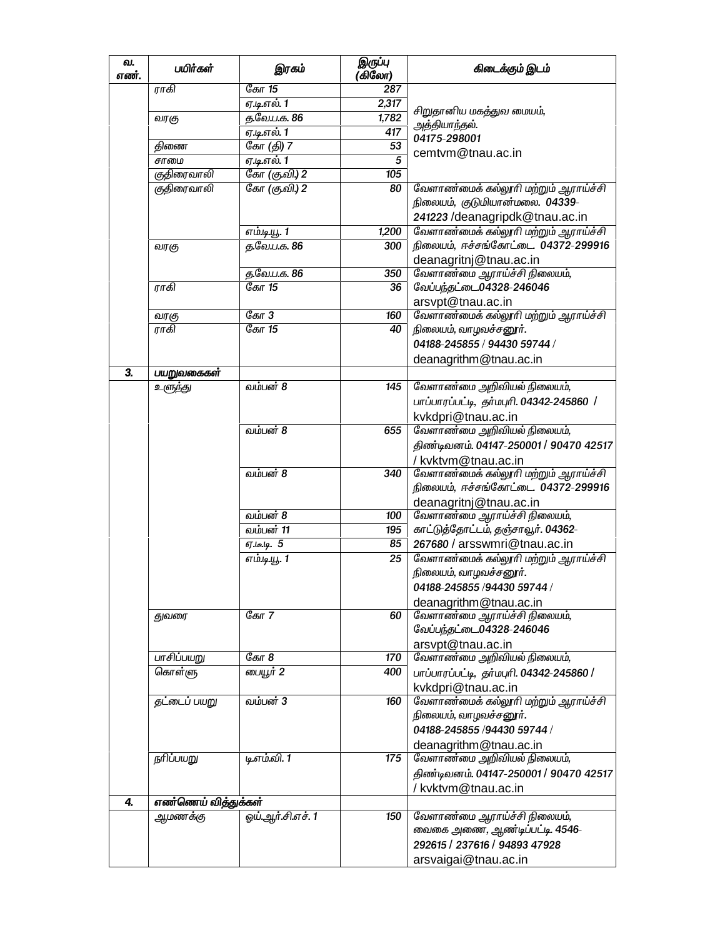| வ.<br>எண்.                | பயிர்கள்             | இரகம்               | இருப்பு<br>(கிலோ) | கிடைக்கும் இடம்                                               |
|---------------------------|----------------------|---------------------|-------------------|---------------------------------------------------------------|
|                           | ராகி                 | கோ 15               | 287               |                                                               |
|                           |                      | ஏ.டி.எல். 1         | 2,317             | சிறுதானிய மகத்துவ மையம்,                                      |
|                           | வரகு                 | த.வே.ப.க. 86        | 1,782             | அத்தியாந்தல்.                                                 |
|                           |                      | ஏ.டி.எல். 1         | 417               | 04175-298001                                                  |
|                           | திணை                 | கோ (தி) 7           | 53                | cemtvm@tnau.ac.in                                             |
|                           | சாமை                 | ஏ.டி.எல். 1         | $\overline{5}$    |                                                               |
|                           | குதிரைவாலி           | கோ (குவி) 2         | 105               |                                                               |
|                           | குதிரைவாலி           | கோ (கு.வி.) 2       | 80                | வேளாண்மைக் கல்லூரி மற்றும் ஆராய்ச்சி                          |
|                           |                      |                     |                   | நிலையம், குடுமியான்மலை. 04339-                                |
|                           |                      |                     |                   | 241223 / deanagripdk@tnau.ac.in                               |
|                           |                      | எம்.டி.யூ. 1        | 1,200             | வேளாண்மைக் கல்லூரி மற்றும் ஆராய்ச்சி                          |
|                           | வரகு                 | த.வே.ப.க. 86        | 300               | நிலையம், ஈச்சங்கோட்டை. 04372-299916                           |
|                           |                      |                     |                   | deanagritnj@tnau.ac.in                                        |
|                           |                      | த.வே.ப.க. 86        | 350               | வேளாண்மை ஆராய்ச்சி நிலையம்,                                   |
|                           | ராகி                 | கோ 15               | 36                | வேப்பந்தட்டை04328-246046                                      |
|                           |                      |                     |                   | arsvpt@tnau.ac.in                                             |
|                           | வரகு                 | ேகா $3$             | 160               | வேளாண்மைக் கல்லூரி மற்றும் ஆராய்ச்சி                          |
|                           | ராகி                 | கோ 15               | 40                | நிலையம், வாழவச்சனூர்.                                         |
|                           |                      |                     |                   | 04188-245855 / 94430 59744 /                                  |
|                           |                      |                     |                   | deanagrithm@tnau.ac.in                                        |
| $\overline{\mathbf{3}}$ . | பயறுவகைகள்           |                     |                   |                                                               |
|                           | உளுந்து              | வம்பன் 8            | 145               | வேளாண்மை அறிவியல் நிலையம்,                                    |
|                           |                      |                     |                   | பாப்பாரப்பட்டி, தர்மபுரி. 04342-245860 /                      |
|                           |                      |                     |                   | kvkdpri@tnau.ac.in                                            |
|                           |                      | வம்பன் 8            | 655               | வேளாண்மை அறிவியல் நிலையம்,                                    |
|                           |                      |                     |                   | திண்டிவனம். 04147-250001 / 90470 42517                        |
|                           |                      |                     |                   | / kvktvm@tnau.ac.in                                           |
|                           |                      | வம்பன் 8            | 340               | வேளாண்மைக் கல்லூரி மற்றும் ஆராய்ச்சி                          |
|                           |                      |                     |                   | நிலையம், ஈச்சங்கோட்டை. 04372-299916                           |
|                           |                      |                     |                   | deanagritnj@tnau.ac.in                                        |
|                           |                      | வம்பன் 8            | 100               | வேளாண்மை ஆராய்ச்சி நிலையம்,                                   |
|                           |                      | வம்பன் 11           | 195               | காட்டுத்தோட்டம், தஞ்சாவூர். 04362-                            |
|                           |                      | <b>ஏ.டீ.டி. 5</b>   | 85                | 267680 / arsswmri@tnau.ac.in                                  |
|                           |                      | <u>எம்.டி.யூ.</u> 1 | 25                |                                                               |
|                           |                      |                     |                   | வேளாண்மைக் கல்லூரி மற்றும் ஆராய்ச்சி<br>நிலையம், வாழவச்சனூர். |
|                           |                      |                     |                   | 04188-245855 /94430 59744 /                                   |
|                           |                      |                     |                   |                                                               |
|                           |                      |                     |                   | deanagrithm@tnau.ac.in                                        |
|                           | துவரை                | ேகா $7$             | 60                | வேளாண்மை ஆராய்ச்சி நிலையம்,                                   |
|                           |                      |                     |                   | வேப்பந்தட்டை04328-246046                                      |
|                           |                      |                     |                   | arsvpt@tnau.ac.in                                             |
|                           | பாசிப்பயறு           | ேகா $8$             | 170               | வேளாண்மை அறிவியல் நிலையம்,                                    |
|                           | கொள்ளு               | பையூர் 2            | 400               | பாப்பாரப்பட்டி, தர்மபுரி. 04342-245860 /                      |
|                           |                      |                     |                   | kvkdpri@tnau.ac.in                                            |
|                           | <i>த</i> ட்டைப் பயறு | வம்பன் 3            | 160               | வேளாண்மைக் கல்லூரி மற்றும் ஆராய்ச்சி                          |
|                           |                      |                     |                   | நிலையம், வாழவச்சனூர்.                                         |
|                           |                      |                     |                   | 04188-245855 /94430 59744 /                                   |
|                           |                      |                     |                   | deanagrithm@tnau.ac.in                                        |
|                           | நரிப்பயறு            | டி.எம்.வி. 1        | 175               | வேளாண்மை அறிவியல் நிலையம்,                                    |
|                           |                      |                     |                   | திண்டிவனம். 04147-250001 / 90470 42517                        |
|                           |                      |                     |                   | /kvktvm@tnau.ac.in                                            |
| 4.                        | எண்ணெய் வித்துக்கள்  |                     |                   |                                                               |
|                           | <u>ஆ</u> மணக்கு      | ஓய்.ஆர்.சி.எச். 1   | 150               | வேளாண்மை ஆராய்ச்சி நிலையம்,                                   |
|                           |                      |                     |                   | வைகை அணை, ஆண்டிப்பட்டி. 4546–                                 |
|                           |                      |                     |                   | 292615 / 237616 / 94893 47928                                 |
|                           |                      |                     |                   |                                                               |
|                           |                      |                     |                   | arsvaigai@tnau.ac.in                                          |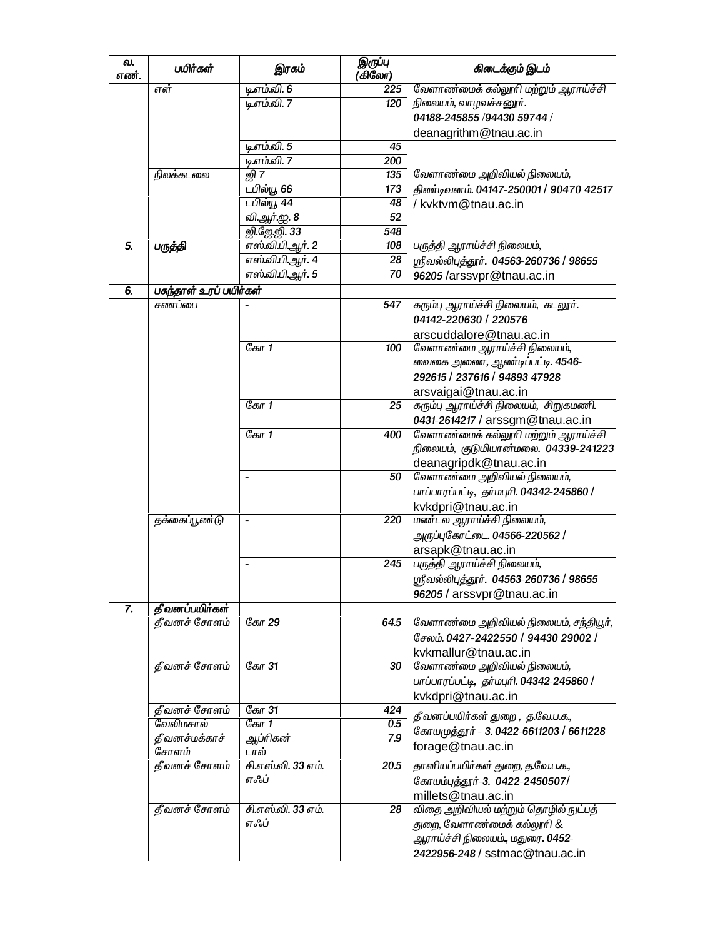| வ.<br>எண். | பயிர்கள்               | இரகம்               | இருப்பு<br>(கிலோ) | கிடைக்கும் இடம்                          |
|------------|------------------------|---------------------|-------------------|------------------------------------------|
|            | எள்                    | டி.எம்.வி. 6        | 225               | வேளாண்மைக் கல்லூரி மற்றும் ஆராய்ச்சி     |
|            |                        | டி.எம்.வி. 7        | 120               | நிலையம், வாழவச்சனூர்.                    |
|            |                        |                     |                   | 04188-245855 /94430 59744 /              |
|            |                        |                     |                   | deanagrithm@tnau.ac.in                   |
|            |                        | டி.எம்.வி. 5        | 45                |                                          |
|            |                        | டி.எம்.வி. 7        | 200               |                                          |
|            | நிலக்கடலை              | லி 7                | 135               | வேளாண்மை அறிவியல் நிலையம்,               |
|            |                        | டபில்யூ 66          | 173               | திண்டிவனம். 04147-250001 / 90470 42517   |
|            |                        | டபில்யூ 44          | 48                | / kvktvm@tnau.ac.in                      |
|            |                        | <u>வி ஆர்.ஐ. 8</u>  | 52                |                                          |
|            |                        | <u>னி.ஜே.னி. 33</u> | 548               |                                          |
| 5.         | பருத்தி                | எஸ்.வி.பி.ஆர். 2    | 108               | பருத்தி ஆராய்ச்சி நிலையம்,               |
|            |                        | எஸ்.வி.பி.ஆர். 4    | 28                | ஸ்ரீவல்லிபுத்தூர். 04563-260736 / 98655  |
|            |                        | எஸ்.வி.பி.ஆர். 5    | 70                | 96205 /arssvpr@tnau.ac.in                |
| 6.         | பகந்தாள் உரப் பயிர்கள் |                     |                   |                                          |
|            | சணப்பை                 |                     | 547               | கரும்பு ஆராய்ச்சி நிலையம், கடலூர்.       |
|            |                        |                     |                   | 04142-220630 / 220576                    |
|            |                        |                     |                   |                                          |
|            |                        | கோ 1                |                   | arscuddalore@tnau.ac.in                  |
|            |                        |                     | 100               | வேளாண்மை ஆராய்ச்சி நிலையம்,              |
|            |                        |                     |                   | வைகை அணை, ஆண்டிப்பட்டி. 4546–            |
|            |                        |                     |                   | 292615 / 237616 / 94893 47928            |
|            |                        |                     |                   | arsvaigai@tnau.ac.in                     |
|            |                        | ேகா $1$             | 25                | கரும்பு ஆராய்ச்சி நிலையம், சிறுகமணி.     |
|            |                        |                     |                   | 0431-2614217 / arssgm@tnau.ac.in         |
|            |                        | ேகா $1$             | 400               | வேளாண்மைக் கல்லூரி மற்றும் ஆராய்ச்சி     |
|            |                        |                     |                   | நிலையம், குடுமியான்மலை. 04339-241223     |
|            |                        |                     |                   | deanagripdk@tnau.ac.in                   |
|            |                        | ÷,                  | 50                | வேளாண்மை அறிவியல் நிலையம்,               |
|            |                        |                     |                   | பாப்பாரப்பட்டி, தர்மபுரி. 04342-245860 / |
|            |                        |                     |                   | kvkdpri@tnau.ac.in                       |
|            | தக்கைப்பூண்டு          | $\overline{a}$      | 220               | மண்டல ஆராய்ச்சி நிலையம்,                 |
|            |                        |                     |                   | அருப்புகோட்டை. 04566-220562 /            |
|            |                        |                     |                   | arsapk@tnau.ac.in                        |
|            |                        |                     | 245               | பருத்தி ஆராய்ச்சி நிலையம்,               |
|            |                        |                     |                   | ஸ்ரீவல்லிபுத்தூர். 04563-260736 / 98655  |
|            |                        |                     |                   |                                          |
|            |                        |                     |                   | 96205 / arssvpr@tnau.ac.in               |
| 7.         | தீவனப்பயிர்கள்         | கோ 29               |                   |                                          |
|            | தீவனச் சோளம்           |                     | 64.5              | வேளாண்மை அறிவியல் நிலையம், சந்தியூர்,    |
|            |                        |                     |                   | சேலம். 0427-2422550 / 94430 29002 /      |
|            |                        |                     |                   | kvkmallur@tnau.ac.in                     |
|            | தீவனச் சோளம்           | கோ 31               | 30                | வேளாண்மை அறிவியல் நிலையம்,               |
|            |                        |                     |                   | பாப்பாரப்பட்டி, தர்மபுரி. 04342-245860 / |
|            |                        |                     |                   | kvkdpri@tnau.ac.in                       |
|            | தீவனச் சோளம்           | கோ 31               | 424               | தீவனப்பயிர்கள் துறை, த.வே.ப.க.,          |
|            | வேலிமசால்              | கோ 1                | 0.5               | கோயமுத்தூர் - 3. 0422-6611203 / 6611228  |
|            | தீவனச்மக்காச்          | ஆப்ரிகன்            | 7.9               | forage@tnau.ac.in                        |
|            | சோளம்                  | டால்                |                   |                                          |
|            | தீவனச் சோளம்           | சி.எஸ்.வி. 33 எம்.  | 20.5              | தானியப்பயிர்கள் துறை, த.வே.ப.க.,         |
|            |                        | எஃப்                |                   | கோயம்புத்தூர்-3. 0422-2450507/           |
|            |                        |                     |                   | millets@tnau.ac.in                       |
|            | தீவனச் சோளம்           | சி.எஸ்.வி. 33 எம்.  | 28                | விதை அறிவியல் மற்றும் தொழில் நுட்பத்     |
|            |                        | எஃப்                |                   | துறை, வேளாண்மைக் கல்லூரி &               |
|            |                        |                     |                   | ஆராய்ச்சி நிலையம்., மதுரை. 0452-         |
|            |                        |                     |                   | 2422956-248 / sstmac@tnau.ac.in          |
|            |                        |                     |                   |                                          |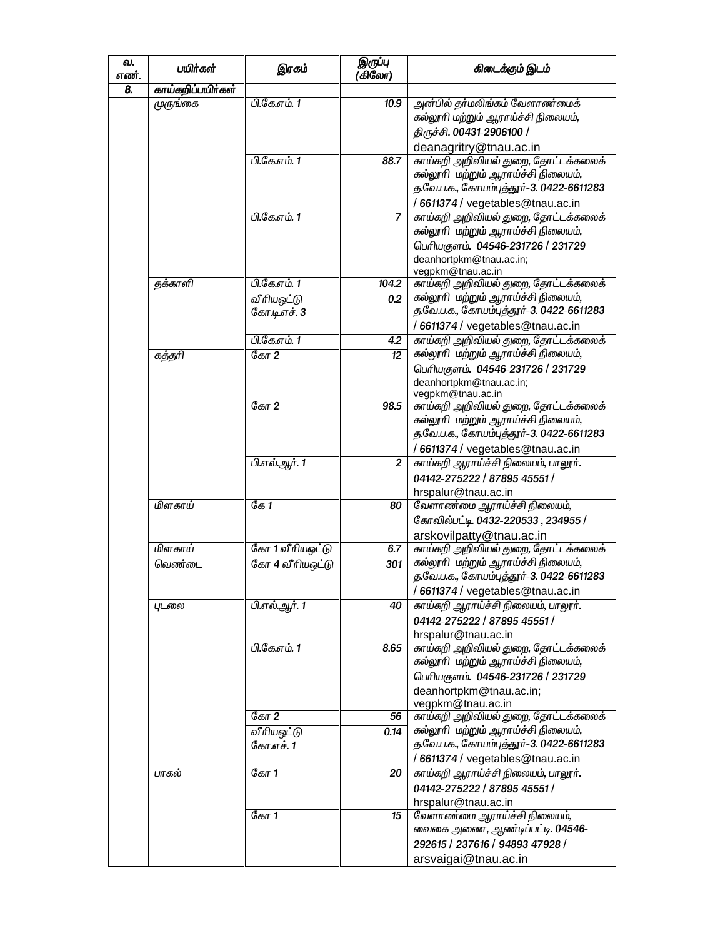| வ.<br>எண். | பயிர்கள்          | இரகம்                      | இருப்பு<br>(கிலோ)       | கிடைக்கும் இடம்                                                                                                                                                  |
|------------|-------------------|----------------------------|-------------------------|------------------------------------------------------------------------------------------------------------------------------------------------------------------|
| 8.         | காய்கறிப்பயிர்கள் |                            |                         |                                                                                                                                                                  |
|            | முருங்கை          | பி.கே.எம். 1               | 10.9                    | அன்பில் தர்மலிங்கம் வேளாண்மைக்<br>கல்லூரி மற்றும் ஆராய்ச்சி நிலையம்,<br>திருச்சி. 00431-2906100 /<br>deanagritry@tnau.ac.in                                      |
|            |                   | பி.கே.எம். 1               | 88.7                    | காய்கறி அறிவியல் துறை, தோட்டக்கலைக்<br>கல்லூரி மற்றும் ஆராய்ச்சி நிலையம்,<br>த.வே.ப.க., கோயம்புத்தூர்-3. 0422-6611283<br>/6611374 / vegetables@tnau.ac.in        |
|            |                   | பி.கே.எம். 1               | 7                       | காய்கறி அறிவியல் துறை, தோட்டக்கலைக்<br>கல்லூரி மற்றும் ஆராய்ச்சி நிலையம்,<br>பெரியகுளம். 04546-231726 / 231729<br>deanhortpkm@tnau.ac.in;<br>vegpkm@tnau.ac.in   |
|            | தக்காளி           | பி.கே.எம். 1               | 104.2                   | காய்கறி அறிவியல் துறை, தோட்டக்கலைக்                                                                                                                              |
|            |                   | வீரியஒட்டு<br>கோ.டி.எச். 3 | 0.2                     | கல்லூரி மற்றும் ஆராய்ச்சி நிலையம்,<br>த.வே.ப.க., கோயம்புத்தூர்-3. 0422-6611283                                                                                   |
|            |                   | பி.கே.எம். 1               | 4.2                     | /6611374 / vegetables@tnau.ac.in<br>காய்கறி அறிவியல் துறை, தோட்டக்கலைக்                                                                                          |
|            | கத்தரி            | ேகா $2$                    | 12                      | கல்லூரி மற்றும் ஆராய்ச்சி நிலையம்,<br>பெரியகுளம். 04546-231726 / 231729<br>deanhortpkm@tnau.ac.in;                                                               |
|            |                   |                            |                         | vegpkm@tnau.ac.in                                                                                                                                                |
|            |                   | கோ 2                       | 98.5                    | காய்கறி அறிவியல் துறை, தோட்டக்கலைக்<br>கல்லூரி மற்றும் ஆராய்ச்சி நிலையம்,<br>த.வே.ப.க., கோயம்புத்தூர்-3. 0422-6611283                                            |
|            |                   |                            |                         | /6611374 / vegetables@tnau.ac.in                                                                                                                                 |
|            |                   | பி.எல்.ஆர். 1              | $\overline{\mathbf{c}}$ | காய்கறி ஆராய்ச்சி நிலையம், பாலூர்.<br>04142-275222 / 87895 45551 /                                                                                               |
|            | மிளகாய்           | ே $1$                      | 80                      | hrspalur@tnau.ac.in<br>வேளாண்மை ஆராய்ச்சி நிலையம்,                                                                                                               |
|            |                   |                            |                         | கோவில்பட்டி. 0432-220533, 234955 /<br>arskovilpatty@tnau.ac.in                                                                                                   |
|            | மிளகாய்           | கோ 1 வீரியஒட்டு            | 6.7                     | காய்கறி அறிவியல் துறை, தோட்டக்கலைக்                                                                                                                              |
|            | வெண்டை            | கோ 4 வீரியஒட்டு            | 301                     | கல்லூரி மற்றும் ஆராய்ச்சி நிலையம்,<br>த.வே.ப.க., கோயம்புத்தூர்-3. 0422-6611283                                                                                   |
|            |                   |                            |                         | /6611374 / vegetables@tnau.ac.in                                                                                                                                 |
|            | புடலை             | பி.எல்.ஆர். 1              | 40                      | காய்கறி ஆராய்ச்சி நிலையம், பாலூர்.<br>04142-275222 / 87895 45551 /                                                                                               |
|            |                   | பி.கே.எம். 1               | 8.65                    | hrspalur@tnau.ac.in<br>காய்கறி அறிவியல் துறை, தோட்டக்கலைக்<br>கல்லூரி மற்றும் ஆராய்ச்சி நிலையம்,<br>பெரியகுளம். 04546-231726 / 231729<br>deanhortpkm@tnau.ac.in; |
|            |                   |                            |                         | vegpkm@tnau.ac.in                                                                                                                                                |
|            |                   | கோ 2                       | 56<br>0.14              | காய்கறி அறிவியல் துறை, தோட்டக்கலைக்<br>கல்லூரி மற்றும் ஆராய்ச்சி நிலையம்,                                                                                        |
|            |                   | வீரியஒட்டு<br>கோ.எச். 1    |                         | த.வே.ப.க., கோயம்புத்தூர்-3. 0422-6611283<br>/6611374 / vegetables@tnau.ac.in                                                                                     |
|            | பாகல்             | கோ 1                       | 20                      | காய்கறி ஆராய்ச்சி நிலையம், பாலூர்.<br>04142-275222 / 87895 45551 /                                                                                               |
|            |                   | ேகா $1$                    | 15                      | hrspalur@tnau.ac.in<br>வேளாண்மை ஆராய்ச்சி நிலையம்,<br>வைகை அணை, ஆண்டிப்பட்டி. 04546–<br>292615 / 237616 / 94893 47928 /<br>arsvaigai@tnau.ac.in                  |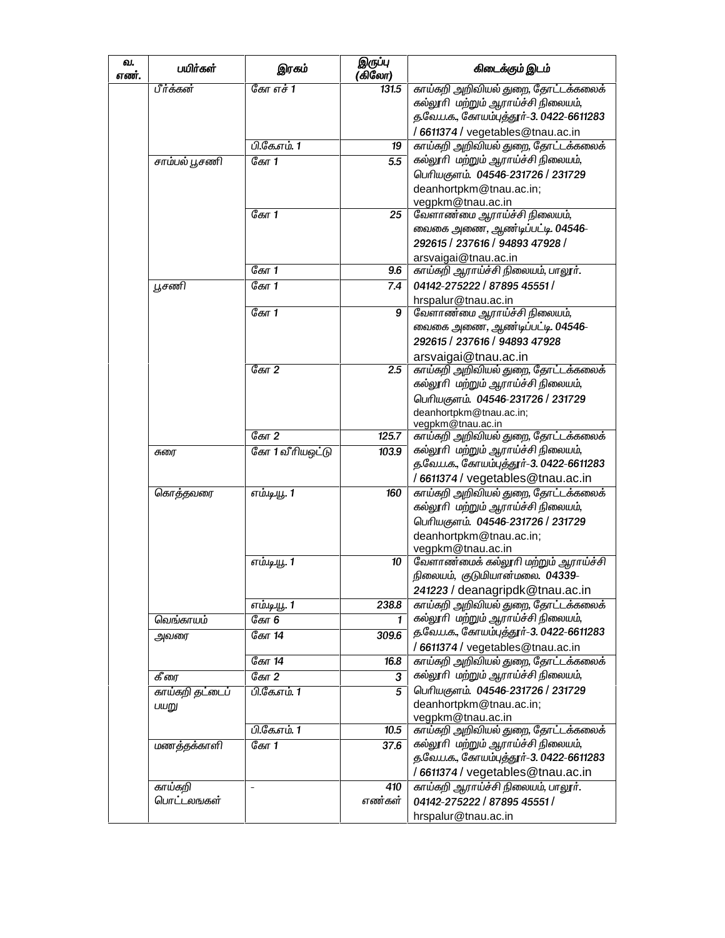| வ.<br>எண். | பயிர்கள்              | இரகம்                    | இருப்பு<br>(கிலோ) | கிடைக்கும் இடம்                                                                |  |
|------------|-----------------------|--------------------------|-------------------|--------------------------------------------------------------------------------|--|
|            | பீர்க்கன்             | கோ எச் 1                 | 131.5             | காய்கறி அறிவியல் துறை, தோட்டக்கலைக்<br>கல்லூரி மற்றும் ஆராய்ச்சி நிலையம்,      |  |
|            |                       |                          |                   | த.வே.ப.க., கோயம்புத்தூர்-3. 0422-6611283                                       |  |
|            |                       |                          |                   | /6611374 / vegetables@tnau.ac.in                                               |  |
|            |                       | பி.கே.எம். 1             | 19                | காய்கறி அறிவியல் துறை, தோட்டக்கலைக்                                            |  |
|            | சாம்பல் பூசணி         | ேகா $1$                  | 5.5               | கல்லூரி மற்றும் ஆராய்ச்சி நிலையம்,                                             |  |
|            |                       |                          |                   | பெரியகுளம். 04546-231726 / 231729                                              |  |
|            |                       |                          |                   | deanhortpkm@tnau.ac.in;                                                        |  |
|            |                       | ேகா $1$                  | 25                | vegpkm@tnau.ac.in<br>வேளாண்மை ஆராய்ச்சி நிலையம்,                               |  |
|            |                       |                          |                   | வைகை அணை, ஆண்டிப்பட்டி. 04546-                                                 |  |
|            |                       |                          |                   | 292615 / 237616 / 94893 47928 /                                                |  |
|            |                       |                          |                   | arsvaigai@tnau.ac.in                                                           |  |
|            |                       | கோ 1                     | 9.6               | காய்கறி ஆராய்ச்சி நிலையம், பாலூர்.                                             |  |
|            | பூசணி                 | கோ 1                     | 7.4               | 04142-275222 / 87895 45551 /                                                   |  |
|            |                       |                          |                   | hrspalur@tnau.ac.in                                                            |  |
|            |                       | கோ 1                     | 9                 | வேளாண்மை ஆராய்ச்சி நிலையம்,                                                    |  |
|            |                       |                          |                   | வைகை அணை, ஆண்டிப்பட்டி. 04546–                                                 |  |
|            |                       |                          |                   | 292615 / 237616 / 94893 47928                                                  |  |
|            |                       | ேகா $2$                  |                   | arsvaigai@tnau.ac.in                                                           |  |
|            |                       |                          | 2.5               | காய்கறி அறிவியல் துறை, தோட்டக்கலைக்<br>கல்லூரி மற்றும் ஆராய்ச்சி நிலையம்,      |  |
|            |                       |                          |                   | பெரியகுளம். 04546-231726 / 231729                                              |  |
|            |                       |                          |                   | deanhortpkm@tnau.ac.in;                                                        |  |
|            |                       |                          |                   | vegpkm@tnau.ac.in                                                              |  |
|            |                       | கோ 2                     | 125.7             | காய்கறி அறிவியல் துறை, தோட்டக்கலைக்                                            |  |
|            | சுரை                  | கோ 1 வீரியஒட்டு          | 103.9             | கல்லூரி மற்றும் ஆராய்ச்சி நிலையம்,<br>த.வே.ப.க., கோயம்புத்தூர்-3. 0422-6611283 |  |
|            |                       |                          |                   | /6611374/vegetables@tnau.ac.in                                                 |  |
|            | கொத்தவரை              | எம்.டி.யூ. 1             | 160               | காய்கறி அறிவியல் துறை, தோட்டக்கலைக்                                            |  |
|            |                       |                          |                   | கல்லூரி மற்றும் ஆராய்ச்சி நிலையம்,                                             |  |
|            |                       |                          |                   | பெரியகுளம். 04546-231726 / 231729                                              |  |
|            |                       |                          |                   | deanhortpkm@tnau.ac.in;<br>vegpkm@tnau.ac.in                                   |  |
|            |                       | எம்.டி.யூ. 1             | 10                | வேளாண்மைக் கல்லூரி மற்றும் ஆராய்ச்சி                                           |  |
|            |                       |                          |                   | நிலையம், குடுமியான்மலை. 04339-                                                 |  |
|            |                       |                          |                   | 241223 / deanagripdk@tnau.ac.in                                                |  |
|            |                       | எம்.டி.யூ. 1             | 238.8             | காய்கறி அறிவியல் துறை, தோட்டக்கலைக்                                            |  |
|            | வெங்காயம்             | கோ 6                     | 1                 | கல்லூரி மற்றும் ஆராய்ச்சி நிலையம்,                                             |  |
|            | அவரை                  | கோ 14                    | 309.6             | த.வே.ப.க., கோயம்புத்தூர்-3. 0422-6611283                                       |  |
|            |                       |                          |                   | /6611374 / vegetables@tnau.ac.in                                               |  |
|            |                       | ேகா $14$                 | 16.8              | காய்கறி அறிவியல் துறை, தோட்டக்கலைக்<br>கல்லூரி மற்றும் ஆராய்ச்சி நிலையம்,      |  |
|            | கீரை                  | ேகா $2$<br>பி.கே.எம். 1  | 3<br>5            | பெரியகுளம். 04546-231726 / 231729                                              |  |
|            | காய்கறி தட்டைப்       |                          |                   | deanhortpkm@tnau.ac.in;                                                        |  |
|            | பயறு                  |                          |                   | vegpkm@tnau.ac.in                                                              |  |
|            |                       | <u> பி.கே.எம். 1</u>     | 10.5              | காய்கறி அறிவியல் துறை, தோட்டக்கலைக்                                            |  |
|            | மணத்தக்காளி           | ேகா $1$                  | 37.6              | கல்லூரி மற்றும் ஆராய்ச்சி நிலையம்,                                             |  |
|            |                       |                          |                   | த.வே.ப.க., கோயம்புத்தூர்-3. 0422-6611283                                       |  |
|            |                       |                          |                   | /6611374/vegetables@tnau.ac.in                                                 |  |
|            | காய்கறி<br>பொட்டலஙகள் | $\overline{\phantom{a}}$ | 410<br>எண்கள்     | காய்கறி ஆராய்ச்சி நிலையம், பாலூர்.                                             |  |
|            |                       |                          |                   | 04142-275222 / 87895 45551 /                                                   |  |
|            |                       |                          |                   | hrspalur@tnau.ac.in                                                            |  |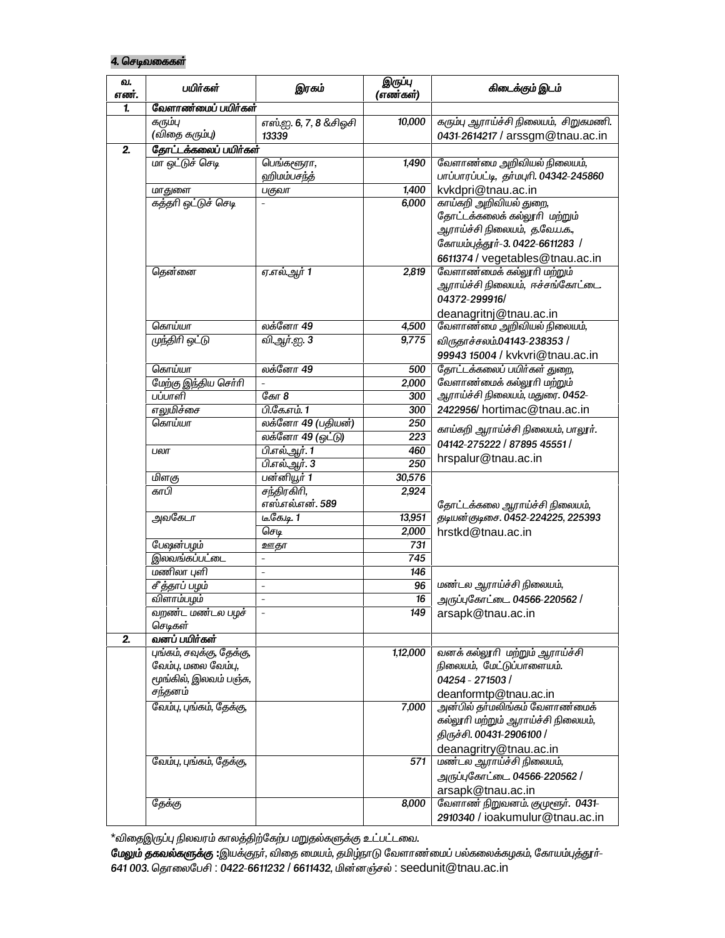#### 4. செடிவகைகள்

| வ.<br>எண்.     | பயிர்கள்                                                                              | இரகம்                                | இருப்பு<br>(எண்கள்)                | கிடைக்கும் இடம்                                                                                                                                               |
|----------------|---------------------------------------------------------------------------------------|--------------------------------------|------------------------------------|---------------------------------------------------------------------------------------------------------------------------------------------------------------|
| 1.             | வேளாண்மைப் பயிர்கள்                                                                   |                                      |                                    |                                                                                                                                                               |
|                | கரும்பு<br>(விதை கரும்பு)                                                             | எஸ்.ஐ. 6, 7, 8 &சிஓசி<br>13339       | 10,000                             | கரும்பு ஆராய்ச்சி நிலையம், சிறுகமணி.<br>0431-2614217 / arssgm@tnau.ac.in                                                                                      |
| 2.             | தோட்டக்கலைப் பயிர்கள்                                                                 |                                      |                                    |                                                                                                                                                               |
|                | மா ஒட்டுச் செடி                                                                       | பெங்களூரா,<br>ஹிமம்பசந்த்            | 1,490                              | வேளாண்மை அறிவியல் நிலையம்,<br>பாப்பாரப்பட்டி, தர்மபுரி. 04342-245860                                                                                          |
|                |                                                                                       |                                      |                                    |                                                                                                                                                               |
|                | மாதுளை                                                                                | பகுவா                                | 1,400                              | kvkdpri@tnau.ac.in                                                                                                                                            |
|                | கத்தரி ஒட்டுச் செடி                                                                   |                                      | 6,000                              | காய்கறி அறிவியல் துறை,<br>தோட்டக்கலைக் கல்லூரி மற்றும்<br>ஆராய்ச்சி நிலையம், த.வே.ப.க.,<br>கோயம்புத்தூர்-3. 0422-6611283 /<br>6611374 / vegetables@tnau.ac.in |
|                | தென்னை                                                                                | <u>ஏ.எல்.ஆர் 1</u>                   | 2,819                              | வேளாண்மைக் கல்லூரி மற்றும்<br>ஆராய்ச்சி நிலையம்,  ஈச்சங்கோட்டை.<br>04372-299916/<br>deanagritnj@tnau.ac.in                                                    |
|                | கொய்யா                                                                                | லக்னோ 49                             | 4,500                              | வேளாண்மை அறிவியல் நிலையம்,                                                                                                                                    |
|                | முந்திரி ஒட்டு                                                                        | வி.ஆர்.ஐ. 3                          | 9,775                              | விருதாச்சலம்.04143-238353 /<br>99943 15004 / kvkvri@tnau.ac.in                                                                                                |
|                | கொய்யா                                                                                | லக்னோ 49                             | 500                                | தோட்டக்கலைப் பயிர்கள் துறை,                                                                                                                                   |
|                | மேற்கு இந்திய செர்ரி                                                                  |                                      | 2,000                              | வேளாண்மைக் கல்லூரி மற்றும்                                                                                                                                    |
|                | பப்பாளி                                                                               | கோ 8                                 | 300                                | ஆராய்ச்சி நிலையம், மதுரை. 0452-                                                                                                                               |
|                | எலுமிச்சை                                                                             | பி.கே.எம். 1                         | 300                                | 2422956/hortimac@tnau.ac.in                                                                                                                                   |
|                | லக்னோ 49 (பதியன்)<br>கொய்யா<br>250                                                    |                                      |                                    |                                                                                                                                                               |
|                |                                                                                       | லக்னோ 49 (ஒட்டு)<br>$\overline{223}$ | காய்கறி ஆராய்ச்சி நிலையம், பாலூர். |                                                                                                                                                               |
|                | பலா                                                                                   | பி.எல்.ஆர். 1                        | 460                                | 04142-275222 / 87895 45551 /                                                                                                                                  |
|                |                                                                                       | பி.எல்.ஆர். 3                        | 250                                | hrspalur@tnau.ac.in                                                                                                                                           |
|                | மிளகு                                                                                 | பன்னியூர் 1                          | 30,576                             |                                                                                                                                                               |
|                | காபி                                                                                  | சந்திரகிரி,                          | 2,924                              |                                                                                                                                                               |
|                |                                                                                       | எஸ்.எல்.என். 589                     |                                    | தோட்டக்கலை ஆராய்ச்சி நிலையம்,                                                                                                                                 |
|                | அவகேடா                                                                                | டீ.கே.டி. 1                          | 13,951                             | தடியன்குடிசை. 0452-224225, 225393                                                                                                                             |
|                |                                                                                       | செடி                                 | 2,000                              | hrstkd@tnau.ac.in                                                                                                                                             |
|                | பேஷன்பழம்                                                                             | ஊதா                                  | 731                                |                                                                                                                                                               |
|                | இலவங்கப்பட்டை                                                                         | $\overline{\phantom{a}}$             | 745                                |                                                                                                                                                               |
|                | மணிலா புளி                                                                            | $\overline{\phantom{a}}$             | 146                                |                                                                                                                                                               |
|                | சீத்தாப் பழம்                                                                         | $\blacksquare$                       | 96                                 | மண்டல ஆராய்ச்சி நிலையம்,                                                                                                                                      |
|                | விளாம்பழம்                                                                            | $\overline{\phantom{a}}$             | $\overline{16}$                    | அருப்புகோட்டை. 04566-220562 /                                                                                                                                 |
|                | வறண்ட மண்டல பழச்<br>செடிகள்                                                           | $\overline{\phantom{a}}$             | 149                                | arsapk@tnau.ac.in                                                                                                                                             |
| $\overline{2}$ | வனப் பயிர்கள்                                                                         |                                      |                                    |                                                                                                                                                               |
|                | புங்கம், சவுக்கு, தேக்கு,<br>வேம்பு, மலை வேம்பு,<br>மூங்கில், இலவம் பஞ்சு,<br>சந்தனம் |                                      | 1,12,000                           | வனக் கல்லூரி மற்றும் ஆராய்ச்சி<br>நிலையம், மேட்டுப்பாளையம்.<br>04254 - 271503 /<br>deanformtp@tnau.ac.in                                                      |
|                | வேம்பு, புங்கம், தேக்கு,                                                              |                                      | 7,000                              | அன்பில் தா்மலிங்கம் வேளாண்மைக்                                                                                                                                |
|                |                                                                                       |                                      |                                    | கல்லூரி மற்றும் ஆராய்ச்சி நிலையம்,<br>திருச்சி. 00431-2906100 /<br>deanagritry@tnau.ac.in                                                                     |
|                | வேம்பு, புங்கம், தேக்கு,                                                              |                                      | 571                                | மண்டல ஆராய்ச்சி நிலையம்,<br>அருப்புகோட்டை. 04566-220562 /<br>arsapk@tnau.ac.in                                                                                |
|                | தேக்கு                                                                                |                                      | 8,000                              | வேளாண் நிறுவனம். குமுளூர். 0431-<br>2910340 / ioakumulur@tnau.ac.in                                                                                           |

 $^\star$ விதைஇருப்பு நிலவரம் காலத்திற்கேற்ப மறுதல்களுக்கு உட்பட்டவை.

**மேலும் தகவல்களுக்கு :**இயக்குநா், விதை மையம், தமிழ்நாடு வேளாண மைப் பல்கலைக்கழகம், கோயம்புத்தூா்-641 003. தொலைபேசி : 0422-6611232 / 6611432, மின்னஞ்சல் : seedunit@tnau.ac.in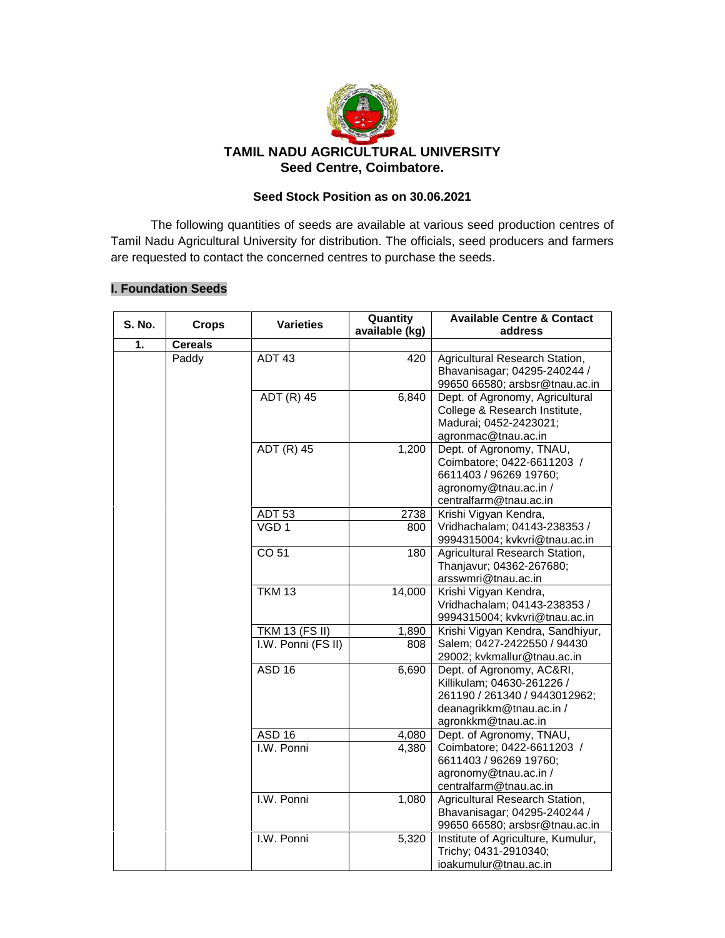

#### **Seed Stock Position as on 30.06.2021**

The following quantities of seeds are available at various seed production centres of Tamil Nadu Agricultural University for distribution. The officials, seed producers and farmers are requested to contact the concerned centres to purchase the seeds.

#### **I. Foundation Seeds**

| <b>S. No.</b> | <b>Crops</b>   | <b>Varieties</b>      | Quantity<br>available (kg) | <b>Available Centre &amp; Contact</b><br>address                                                                                            |
|---------------|----------------|-----------------------|----------------------------|---------------------------------------------------------------------------------------------------------------------------------------------|
| 1.            | <b>Cereals</b> |                       |                            |                                                                                                                                             |
|               | Paddy          | ADT 43                | 420                        | Agricultural Research Station,<br>Bhavanisagar; 04295-240244 /<br>99650 66580; arsbsr@tnau.ac.in                                            |
|               |                | ADT (R) 45            | 6,840                      | Dept. of Agronomy, Agricultural<br>College & Research Institute,<br>Madurai; 0452-2423021;<br>agronmac@tnau.ac.in                           |
|               |                | ADT (R) 45            | 1,200                      | Dept. of Agronomy, TNAU,<br>Coimbatore; 0422-6611203 /<br>6611403 / 96269 19760;<br>agronomy@tnau.ac.in /<br>centralfarm@tnau.ac.in         |
|               |                | <b>ADT 53</b>         | 2738                       | Krishi Vigyan Kendra,                                                                                                                       |
|               |                | VGD <sub>1</sub>      | 800                        | Vridhachalam; 04143-238353 /<br>9994315004; kvkvri@tnau.ac.in                                                                               |
|               |                | CO 51                 | 180                        | Agricultural Research Station,<br>Thanjavur; 04362-267680;<br>arsswmri@tnau.ac.in                                                           |
|               |                | <b>TKM 13</b>         | 14,000                     | Krishi Vigyan Kendra,<br>Vridhachalam; 04143-238353 /<br>9994315004; kvkvri@tnau.ac.in                                                      |
|               |                | <b>TKM 13 (FS II)</b> | 1,890                      | Krishi Vigyan Kendra, Sandhiyur,                                                                                                            |
|               |                | I.W. Ponni (FS II)    | 808                        | Salem; 0427-2422550 / 94430<br>29002; kvkmallur@tnau.ac.in                                                                                  |
|               |                | ASD <sub>16</sub>     | 6,690                      | Dept. of Agronomy, AC&RI,<br>Killikulam; 04630-261226 /<br>261190 / 261340 / 9443012962;<br>deanagrikkm@tnau.ac.in /<br>agronkkm@tnau.ac.in |
|               |                | <b>ASD 16</b>         | 4,080                      | Dept. of Agronomy, TNAU,                                                                                                                    |
|               |                | I.W. Ponni            | 4,380                      | Coimbatore; 0422-6611203 /<br>6611403 / 96269 19760;<br>agronomy@tnau.ac.in /<br>centralfarm@tnau.ac.in                                     |
|               |                | I.W. Ponni            | 1,080                      | Agricultural Research Station,<br>Bhavanisagar; 04295-240244 /<br>99650 66580; arsbsr@tnau.ac.in                                            |
|               |                | I.W. Ponni            | 5,320                      | Institute of Agriculture, Kumulur,<br>Trichy; 0431-2910340;<br>ioakumulur@tnau.ac.in                                                        |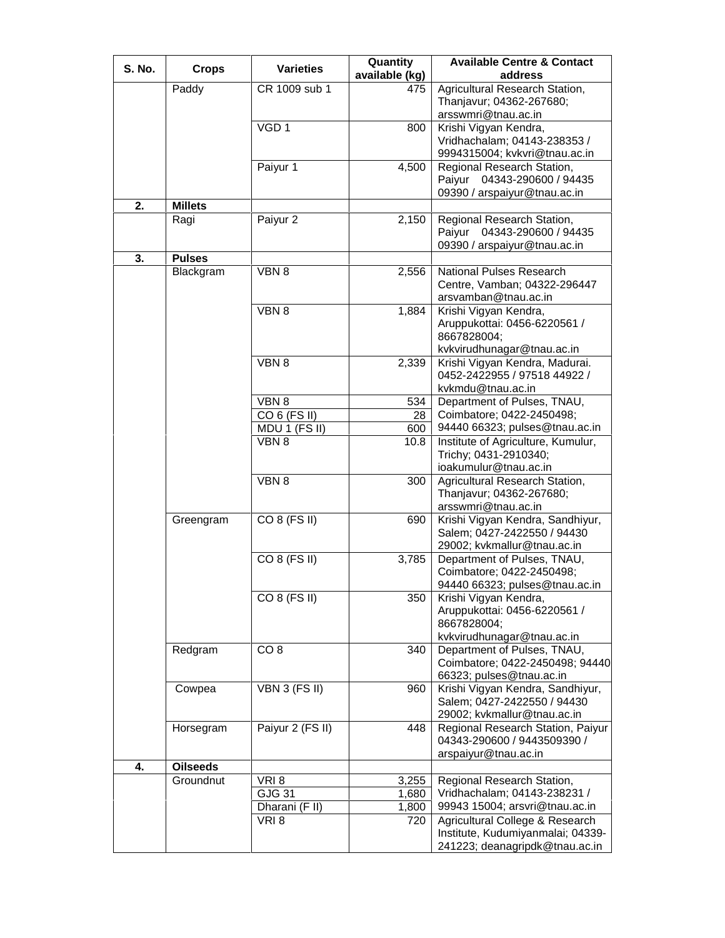| S. No. | <b>Crops</b>    | <b>Varieties</b>       | Quantity       | <b>Available Centre &amp; Contact</b>                                                                  |
|--------|-----------------|------------------------|----------------|--------------------------------------------------------------------------------------------------------|
|        |                 |                        | available (kg) | address                                                                                                |
|        | Paddy           | CR 1009 sub 1          | 475            | Agricultural Research Station,<br>Thanjavur; 04362-267680;<br>arsswmri@tnau.ac.in                      |
|        |                 | VGD <sub>1</sub>       | 800            | Krishi Vigyan Kendra,<br>Vridhachalam; 04143-238353 /<br>9994315004; kvkvri@tnau.ac.in                 |
|        |                 | Paiyur 1               | 4,500          | Regional Research Station,<br>Paiyur 04343-290600 / 94435<br>09390 / arspaiyur@tnau.ac.in              |
| 2.     | <b>Millets</b>  |                        |                |                                                                                                        |
|        | Ragi            | Paiyur 2               | 2,150          | Regional Research Station,<br>Paiyur 04343-290600 / 94435<br>09390 / arspaiyur@tnau.ac.in              |
| 3.     | <b>Pulses</b>   |                        |                |                                                                                                        |
|        | Blackgram       | VBN 8                  | 2,556          | National Pulses Research<br>Centre, Vamban; 04322-296447<br>arsvamban@tnau.ac.in                       |
|        |                 | VBN 8                  | 1,884          | Krishi Vigyan Kendra,<br>Aruppukottai: 0456-6220561 /<br>8667828004;<br>kvkvirudhunagar@tnau.ac.in     |
|        |                 | VBN 8                  | 2,339          | Krishi Vigyan Kendra, Madurai.<br>0452-2422955 / 97518 44922 /<br>kvkmdu@tnau.ac.in                    |
|        |                 | VBN 8                  | 534            | Department of Pulses, TNAU,                                                                            |
|        |                 | CO 6 (FS II)           | 28             | Coimbatore; 0422-2450498;                                                                              |
|        |                 | MDU 1 (FS II)          | 600            | 94440 66323; pulses@tnau.ac.in                                                                         |
|        |                 | VBN 8                  | 10.8           | Institute of Agriculture, Kumulur,<br>Trichy; 0431-2910340;<br>ioakumulur@tnau.ac.in                   |
|        |                 | VBN 8                  | 300            | Agricultural Research Station,<br>Thanjavur; 04362-267680;<br>arsswmri@tnau.ac.in                      |
|        | Greengram       | CO 8 (FS II)           | 690            | Krishi Vigyan Kendra, Sandhiyur,<br>Salem; 0427-2422550 / 94430<br>29002; kvkmallur@tnau.ac.in         |
|        |                 | CO 8 (FS II)           | 3,785          | Department of Pulses, TNAU,<br>Coimbatore; 0422-2450498;<br>94440 66323; pulses@tnau.ac.in             |
|        |                 | CO 8 (FS II)           | 350            | Krishi Vigyan Kendra,<br>Aruppukottai: 0456-6220561 /<br>8667828004;<br>kvkvirudhunagar@tnau.ac.in     |
|        | Redgram         | CO <sub>8</sub>        | 340            | Department of Pulses, TNAU,<br>Coimbatore; 0422-2450498; 94440<br>66323; pulses@tnau.ac.in             |
|        | Cowpea          | VBN 3 (FS II)          | 960            | Krishi Vigyan Kendra, Sandhiyur,<br>Salem; 0427-2422550 / 94430<br>29002; kvkmallur@tnau.ac.in         |
|        | Horsegram       | Paiyur 2 (FS II)       | 448            | Regional Research Station, Paiyur<br>04343-290600 / 9443509390 /<br>arspaiyur@tnau.ac.in               |
| 4.     | <b>Oilseeds</b> |                        |                |                                                                                                        |
|        | Groundnut       | VRI8                   | 3,255          | Regional Research Station,                                                                             |
|        |                 | <b>GJG 31</b>          | 1,680          | Vridhachalam; 04143-238231 /                                                                           |
|        |                 | Dharani (F II)<br>VRI8 | 1,800<br>720   | 99943 15004; arsvri@tnau.ac.in<br>Agricultural College & Research<br>Institute, Kudumiyanmalai; 04339- |
|        |                 |                        |                | 241223; deanagripdk@tnau.ac.in                                                                         |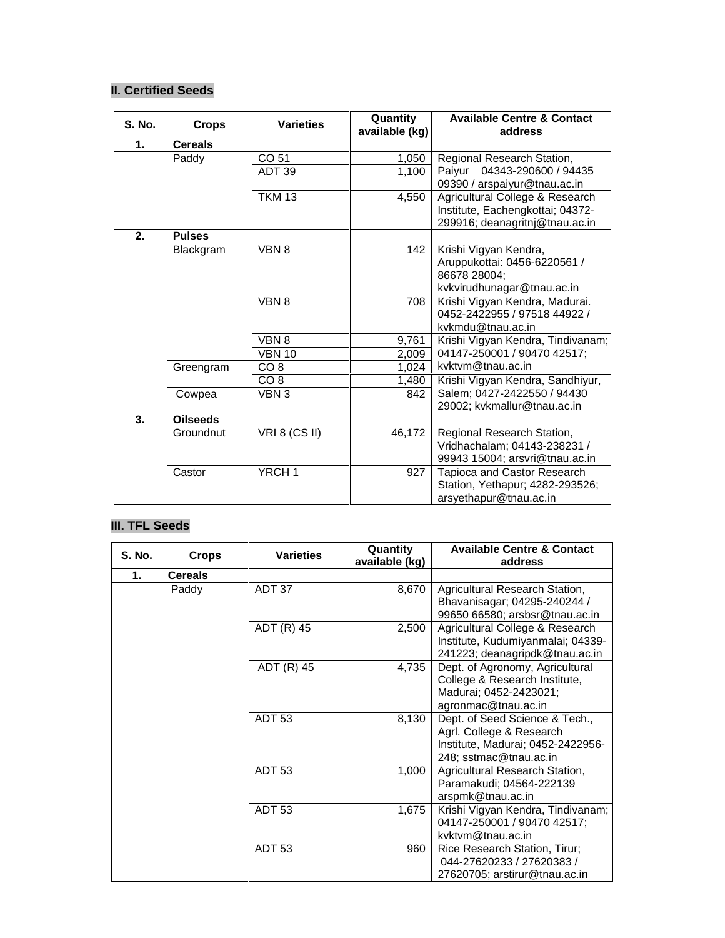## **II. Certified Seeds**

| <b>S. No.</b> | <b>Crops</b>    | <b>Varieties</b>  | Quantity<br>available (kg) | <b>Available Centre &amp; Contact</b><br>address |
|---------------|-----------------|-------------------|----------------------------|--------------------------------------------------|
| 1.            | <b>Cereals</b>  |                   |                            |                                                  |
|               | Paddy           | CO 51             | 1,050                      | Regional Research Station,                       |
|               |                 | ADT 39            | 1,100                      | Paiyur 04343-290600 / 94435                      |
|               |                 |                   |                            | 09390 / arspaiyur@tnau.ac.in                     |
|               |                 | <b>TKM 13</b>     | 4,550                      | Agricultural College & Research                  |
|               |                 |                   |                            | Institute, Eachengkottai; 04372-                 |
|               |                 |                   |                            | 299916; deanagritnj@tnau.ac.in                   |
| 2.            | <b>Pulses</b>   |                   |                            |                                                  |
|               | Blackgram       | VBN 8             | 142                        | Krishi Vigyan Kendra,                            |
|               |                 |                   |                            | Aruppukottai: 0456-6220561 /                     |
|               |                 |                   |                            | 86678 28004;                                     |
|               |                 |                   |                            | kvkvirudhunagar@tnau.ac.in                       |
|               |                 | VBN 8             | 708                        | Krishi Vigyan Kendra, Madurai.                   |
|               |                 |                   |                            | 0452-2422955 / 97518 44922 /                     |
|               |                 |                   |                            | kvkmdu@tnau.ac.in                                |
|               |                 | VBN 8             | 9,761                      | Krishi Vigyan Kendra, Tindivanam;                |
|               |                 | <b>VBN 10</b>     | 2,009                      | 04147-250001 / 90470 42517;                      |
|               | Greengram       | CO <sub>8</sub>   | 1,024                      | kvktvm@tnau.ac.in                                |
|               |                 | CO 8              | 1,480                      | Krishi Vigyan Kendra, Sandhiyur,                 |
|               | Cowpea          | VBN 3             | 842                        | Salem; 0427-2422550 / 94430                      |
|               |                 |                   |                            | 29002; kvkmallur@tnau.ac.in                      |
| 3.            | <b>Oilseeds</b> |                   |                            |                                                  |
|               | Groundnut       | VRI 8 (CS II)     | 46,172                     | Regional Research Station,                       |
|               |                 |                   |                            | Vridhachalam; 04143-238231 /                     |
|               |                 |                   |                            | 99943 15004; arsvri@tnau.ac.in                   |
|               | Castor          | YRCH <sub>1</sub> | 927                        | Tapioca and Castor Research                      |
|               |                 |                   |                            | Station, Yethapur; 4282-293526;                  |
|               |                 |                   |                            | arsyethapur@tnau.ac.in                           |

## **III. TFL Seeds**

| S. No. | <b>Crops</b>   | <b>Varieties</b>  | Quantity<br>available (kg) | <b>Available Centre &amp; Contact</b><br>address                                                                          |
|--------|----------------|-------------------|----------------------------|---------------------------------------------------------------------------------------------------------------------------|
| 1.     | <b>Cereals</b> |                   |                            |                                                                                                                           |
|        | Paddy          | ADT 37            | 8,670                      | Agricultural Research Station,<br>Bhavanisagar; 04295-240244 /<br>99650 66580; arsbsr@tnau.ac.in                          |
|        |                | ADT (R) 45        | 2,500                      | Agricultural College & Research<br>Institute, Kudumiyanmalai; 04339-<br>241223; deanagripdk@tnau.ac.in                    |
|        |                | ADT (R) 45        | 4,735                      | Dept. of Agronomy, Agricultural<br>College & Research Institute,<br>Madurai; 0452-2423021;<br>agronmac@tnau.ac.in         |
|        |                | ADT <sub>53</sub> | 8,130                      | Dept. of Seed Science & Tech.,<br>Agrl. College & Research<br>Institute, Madurai; 0452-2422956-<br>248; sstmac@tnau.ac.in |
|        |                | <b>ADT 53</b>     | 1,000                      | Agricultural Research Station,<br>Paramakudi; 04564-222139<br>arspmk@tnau.ac.in                                           |
|        |                | <b>ADT 53</b>     | 1,675                      | Krishi Vigyan Kendra, Tindivanam;<br>04147-250001 / 90470 42517;<br>kvktvm@tnau.ac.in                                     |
|        |                | ADT <sub>53</sub> | 960                        | Rice Research Station, Tirur;<br>044-27620233 / 27620383 /<br>27620705; arstirur@tnau.ac.in                               |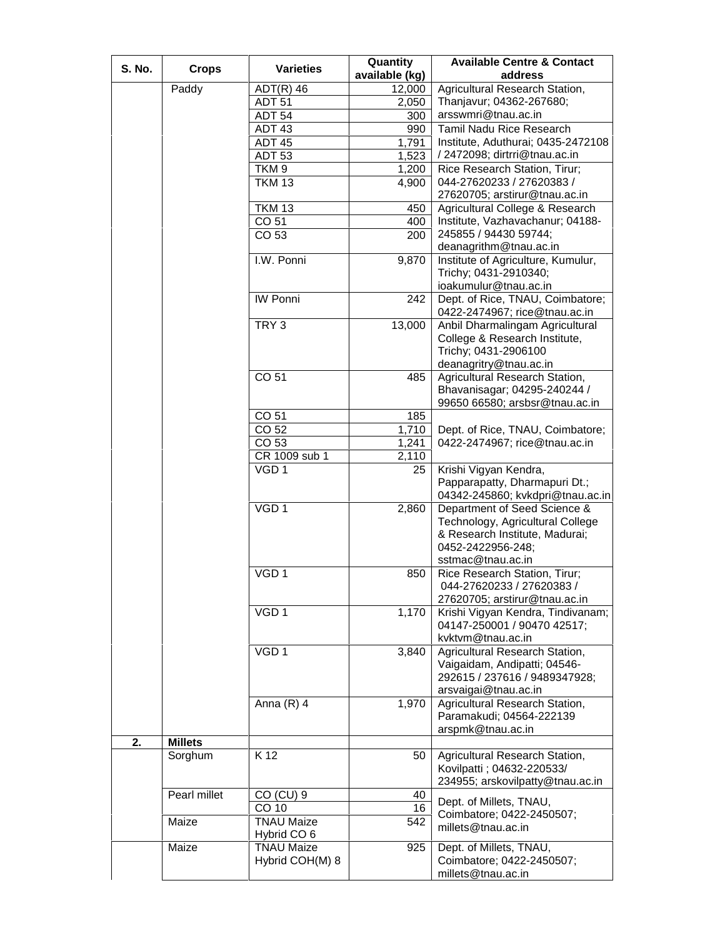| <b>S. No.</b> | <b>Crops</b>   | <b>Varieties</b>   | Quantity<br>available (kg) | <b>Available Centre &amp; Contact</b><br>address |
|---------------|----------------|--------------------|----------------------------|--------------------------------------------------|
|               |                |                    |                            |                                                  |
|               | Paddy          | $ADT(R)$ 46        | 12,000                     | Agricultural Research Station,                   |
|               |                | <b>ADT 51</b>      | 2,050                      | Thanjavur; 04362-267680;                         |
|               |                | ADT 54             | 300                        | arsswmri@tnau.ac.in                              |
|               |                | ADT 43             | 990                        | <b>Tamil Nadu Rice Research</b>                  |
|               |                | <b>ADT 45</b>      | 1,791                      | Institute, Aduthurai; 0435-2472108               |
|               |                | <b>ADT 53</b>      | 1,523                      | / 2472098; dirtrri@tnau.ac.in                    |
|               |                | TKM <sub>9</sub>   | 1,200                      | Rice Research Station, Tirur;                    |
|               |                | <b>TKM 13</b>      | 4,900                      | 044-27620233 / 27620383 /                        |
|               |                |                    |                            | 27620705; arstirur@tnau.ac.in                    |
|               |                | <b>TKM 13</b>      | 450                        | Agricultural College & Research                  |
|               |                | CO 51              | 400                        | Institute, Vazhavachanur; 04188-                 |
|               |                | CO 53              | 200                        | 245855 / 94430 59744;                            |
|               |                |                    |                            | deanagrithm@tnau.ac.in                           |
|               |                | I.W. Ponni         |                            | Institute of Agriculture, Kumulur,               |
|               |                |                    | 9,870                      |                                                  |
|               |                |                    |                            | Trichy; 0431-2910340;                            |
|               |                |                    |                            | ioakumulur@tnau.ac.in                            |
|               |                | <b>IW Ponni</b>    | 242                        | Dept. of Rice, TNAU, Coimbatore;                 |
|               |                |                    |                            | 0422-2474967; rice@tnau.ac.in                    |
|               |                | TRY <sub>3</sub>   | 13,000                     | Anbil Dharmalingam Agricultural                  |
|               |                |                    |                            | College & Research Institute,                    |
|               |                |                    |                            | Trichy; 0431-2906100                             |
|               |                |                    |                            | deanagritry@tnau.ac.in                           |
|               |                | CO 51              | 485                        | Agricultural Research Station,                   |
|               |                |                    |                            | Bhavanisagar; 04295-240244 /                     |
|               |                |                    |                            | 99650 66580; arsbsr@tnau.ac.in                   |
|               |                | CO 51              | 185                        |                                                  |
|               |                | CO 52              | 1,710                      | Dept. of Rice, TNAU, Coimbatore;                 |
|               |                | $\overline{CO}$ 53 | 1,241                      | 0422-2474967; rice@tnau.ac.in                    |
|               |                | CR 1009 sub 1      | 2,110                      |                                                  |
|               |                | VGD <sub>1</sub>   | 25                         | Krishi Vigyan Kendra,                            |
|               |                |                    |                            | Papparapatty, Dharmapuri Dt.;                    |
|               |                |                    |                            | 04342-245860; kvkdpri@tnau.ac.in                 |
|               |                | VGD <sub>1</sub>   | 2,860                      | Department of Seed Science &                     |
|               |                |                    |                            | Technology, Agricultural College                 |
|               |                |                    |                            | & Research Institute, Madurai;                   |
|               |                |                    |                            |                                                  |
|               |                |                    |                            | 0452-2422956-248;                                |
|               |                |                    |                            | sstmac@tnau.ac.in                                |
|               |                | VGD <sub>1</sub>   | 850                        | Rice Research Station, Tirur;                    |
|               |                |                    |                            | 044-27620233 / 27620383 /                        |
|               |                |                    |                            | 27620705; arstirur@tnau.ac.in                    |
|               |                | VGD <sub>1</sub>   | 1,170                      | Krishi Vigyan Kendra, Tindivanam;                |
|               |                |                    |                            | 04147-250001 / 90470 42517;                      |
|               |                |                    |                            | kvktvm@tnau.ac.in                                |
|               |                | VGD <sub>1</sub>   | 3,840                      | Agricultural Research Station,                   |
|               |                |                    |                            | Vaigaidam, Andipatti; 04546-                     |
|               |                |                    |                            | 292615 / 237616 / 9489347928;                    |
|               |                |                    |                            | arsvaigai@tnau.ac.in                             |
|               |                | Anna $(R)$ 4       | 1,970                      | Agricultural Research Station,                   |
|               |                |                    |                            | Paramakudi; 04564-222139                         |
|               |                |                    |                            | arspmk@tnau.ac.in                                |
| 2.            | <b>Millets</b> |                    |                            |                                                  |
|               | Sorghum        | K 12               | 50                         | Agricultural Research Station,                   |
|               |                |                    |                            | Kovilpatti; 04632-220533/                        |
|               |                |                    |                            | 234955; arskovilpatty@tnau.ac.in                 |
|               |                | CO (CU) 9          | 40                         |                                                  |
|               | Pearl millet   | CO 10              | 16                         | Dept. of Millets, TNAU,                          |
|               |                |                    |                            | Coimbatore; 0422-2450507;                        |
|               | Maize          | <b>TNAU Maize</b>  | 542                        | millets@tnau.ac.in                               |
|               |                | Hybrid CO 6        |                            |                                                  |
|               | Maize          | <b>TNAU Maize</b>  | 925                        | Dept. of Millets, TNAU,                          |
|               |                | Hybrid COH(M) 8    |                            | Coimbatore; 0422-2450507;                        |
|               |                |                    |                            | millets@tnau.ac.in                               |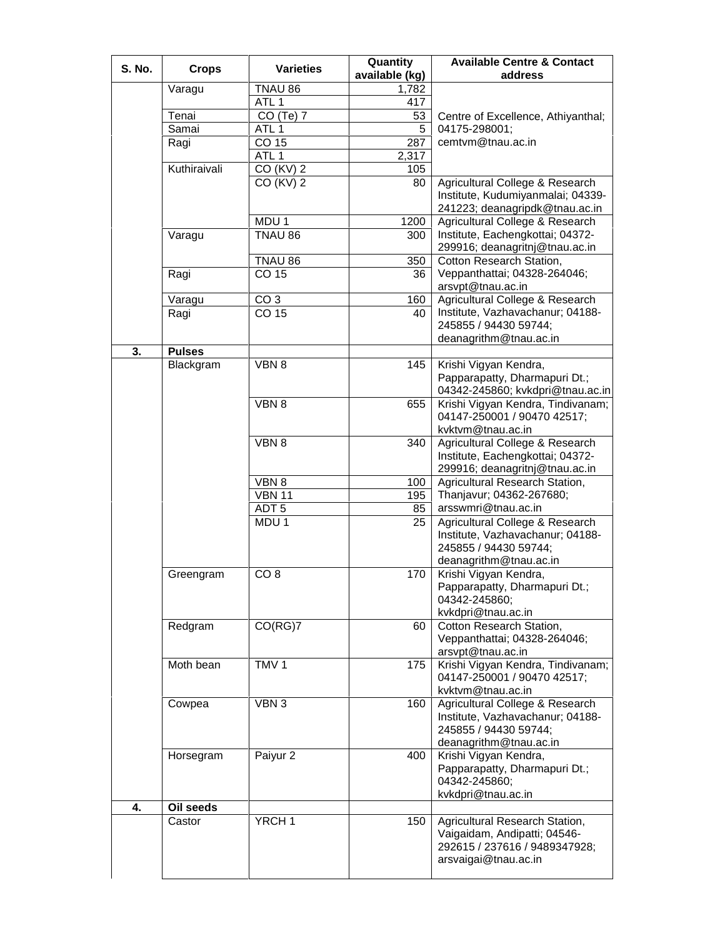| S. No. | <b>Crops</b>  | <b>Varieties</b>  | Quantity<br>available (kg) | <b>Available Centre &amp; Contact</b><br>address                                                                        |
|--------|---------------|-------------------|----------------------------|-------------------------------------------------------------------------------------------------------------------------|
|        | Varagu        | TNAU 86           | $\overline{1,782}$         |                                                                                                                         |
|        |               | ATL <sub>1</sub>  | 417                        |                                                                                                                         |
|        | Tenai         | CO (Te) 7         | 53                         | Centre of Excellence, Athiyanthal;                                                                                      |
|        | Samai         | ATL <sub>1</sub>  | 5                          | 04175-298001;                                                                                                           |
|        | Ragi          | CO 15             | 287                        | cemtvm@tnau.ac.in                                                                                                       |
|        |               | ATL <sub>1</sub>  | 2,317                      |                                                                                                                         |
|        |               |                   |                            |                                                                                                                         |
|        | Kuthiraivali  | CO (KV) 2         | 105                        |                                                                                                                         |
|        |               | CO (KV) 2         | 80                         | Agricultural College & Research<br>Institute, Kudumiyanmalai; 04339-<br>241223; deanagripdk@tnau.ac.in                  |
|        |               | MDU 1             | 1200                       | Agricultural College & Research                                                                                         |
|        | Varagu        | TNAU 86           | 300                        | Institute, Eachengkottai; 04372-<br>299916; deanagritnj@tnau.ac.in                                                      |
|        |               | TNAU 86           | 350                        | Cotton Research Station,                                                                                                |
|        | Ragi          | CO 15             | 36                         | Veppanthattai; 04328-264046;<br>arsvpt@tnau.ac.in                                                                       |
|        | Varagu        | CO <sub>3</sub>   | 160                        | Agricultural College & Research                                                                                         |
|        | Ragi          | CO 15             | 40                         | Institute, Vazhavachanur; 04188-<br>245855 / 94430 59744;<br>deanagrithm@tnau.ac.in                                     |
| 3.     | <b>Pulses</b> |                   |                            |                                                                                                                         |
|        | Blackgram     | VBN 8             | 145                        | Krishi Vigyan Kendra,<br>Papparapatty, Dharmapuri Dt.;                                                                  |
|        |               |                   |                            | 04342-245860; kvkdpri@tnau.ac.in                                                                                        |
|        |               | VBN 8             | 655                        | Krishi Vigyan Kendra, Tindivanam;<br>04147-250001 / 90470 42517;<br>kvktvm@tnau.ac.in                                   |
|        |               | VBN 8             | 340                        | Agricultural College & Research<br>Institute, Eachengkottai; 04372-                                                     |
|        |               |                   |                            | 299916; deanagritnj@tnau.ac.in                                                                                          |
|        |               | VBN 8             | 100                        | Agricultural Research Station,                                                                                          |
|        |               | <b>VBN 11</b>     | 195                        | Thanjavur; 04362-267680;                                                                                                |
|        |               | ADT <sub>5</sub>  | 85                         | arsswmri@tnau.ac.in                                                                                                     |
|        |               | MDU <sub>1</sub>  | 25                         | Agricultural College & Research<br>Institute, Vazhavachanur; 04188-<br>245855 / 94430 59744;<br>deanagrithm@tnau.ac.in  |
|        | Greengram     | CO <sub>8</sub>   | 170                        | Krishi Vigyan Kendra,<br>Papparapatty, Dharmapuri Dt.;<br>04342-245860;<br>kvkdpri@tnau.ac.in                           |
|        | Redgram       | CO(RG)7           | 60                         | Cotton Research Station,<br>Veppanthattai; 04328-264046;<br>arsvpt@tnau.ac.in                                           |
|        | Moth bean     | TMV <sub>1</sub>  | 175                        | Krishi Vigyan Kendra, Tindivanam;<br>04147-250001 / 90470 42517;<br>kvktvm@tnau.ac.in                                   |
|        | Cowpea        | VBN 3             | 160                        | Agricultural College & Research<br>Institute, Vazhavachanur; 04188-<br>245855 / 94430 59744;<br>deanagrithm@tnau.ac.in  |
|        | Horsegram     | Paiyur 2          | 400                        | Krishi Vigyan Kendra,<br>Papparapatty, Dharmapuri Dt.;<br>04342-245860;<br>kvkdpri@tnau.ac.in                           |
| 4.     | Oil seeds     |                   |                            |                                                                                                                         |
|        | Castor        | YRCH <sub>1</sub> | 150                        | Agricultural Research Station,<br>Vaigaidam, Andipatti; 04546-<br>292615 / 237616 / 9489347928;<br>arsvaigai@tnau.ac.in |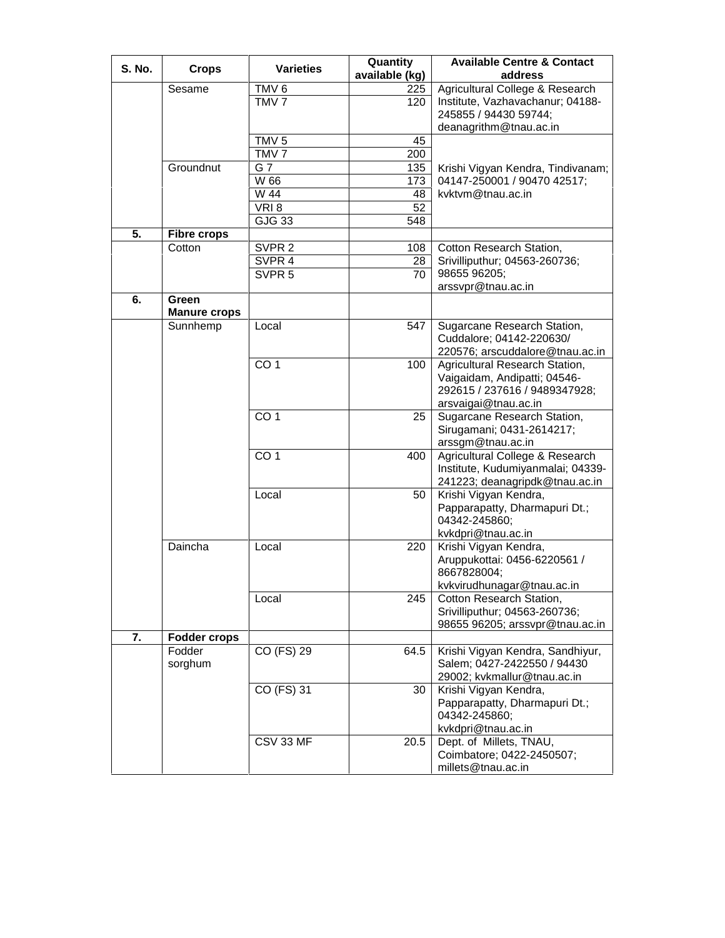| <b>S. No.</b> | <b>Crops</b>                 | <b>Varieties</b>  | Quantity<br>available (kg) | <b>Available Centre &amp; Contact</b><br>address                                                                               |
|---------------|------------------------------|-------------------|----------------------------|--------------------------------------------------------------------------------------------------------------------------------|
|               | Sesame                       | TMV <sub>6</sub>  | 225                        | Agricultural College & Research                                                                                                |
|               |                              | TMV <sub>7</sub>  | 120                        | Institute, Vazhavachanur; 04188-<br>245855 / 94430 59744;                                                                      |
|               |                              |                   |                            | deanagrithm@tnau.ac.in                                                                                                         |
|               |                              | TMV <sub>5</sub>  | 45                         |                                                                                                                                |
|               |                              | TMV <sub>7</sub>  | 200                        |                                                                                                                                |
|               | Groundnut                    | G 7               | 135                        | Krishi Vigyan Kendra, Tindivanam;                                                                                              |
|               |                              | W 66              | 173                        | 04147-250001 / 90470 42517;                                                                                                    |
|               |                              | W 44              | 48                         | kvktvm@tnau.ac.in                                                                                                              |
|               |                              | VRI8              | 52                         |                                                                                                                                |
|               |                              | GJG33             | 548                        |                                                                                                                                |
| 5.            | <b>Fibre crops</b>           |                   |                            |                                                                                                                                |
|               | Cotton                       | SVPR <sub>2</sub> | 108                        | Cotton Research Station,                                                                                                       |
|               |                              | SVPR 4            | 28                         | Srivilliputhur; 04563-260736;                                                                                                  |
|               |                              | SVPR <sub>5</sub> | 70                         | 98655 96205;                                                                                                                   |
|               |                              |                   |                            | arssvpr@tnau.ac.in                                                                                                             |
| 6.            | Green<br><b>Manure crops</b> |                   |                            |                                                                                                                                |
|               | Sunnhemp                     | Local             | 547                        | Sugarcane Research Station,<br>Cuddalore; 04142-220630/<br>220576; arscuddalore@tnau.ac.in                                     |
|               |                              | CO <sub>1</sub>   | 100                        | Agricultural Research Station,<br>Vaigaidam, Andipatti; 04546-<br>292615 / 237616 / 9489347928;                                |
|               |                              | CO <sub>1</sub>   | 25                         | arsvaigai@tnau.ac.in<br>Sugarcane Research Station,<br>Sirugamani; 0431-2614217;                                               |
|               |                              |                   |                            | arssgm@tnau.ac.in                                                                                                              |
|               |                              | CO <sub>1</sub>   | 400                        | Agricultural College & Research<br>Institute, Kudumiyanmalai; 04339-<br>241223; deanagripdk@tnau.ac.in                         |
|               |                              | Local             | 50                         | Krishi Vigyan Kendra,<br>Papparapatty, Dharmapuri Dt.;<br>04342-245860;                                                        |
|               |                              |                   |                            | kvkdpri@tnau.ac.in                                                                                                             |
|               | Daincha                      | Local<br>Local    | 220<br>245                 | Krishi Vigyan Kendra,<br>Aruppukottai: 0456-6220561 /<br>8667828004;<br>kvkvirudhunagar@tnau.ac.in<br>Cotton Research Station, |
|               |                              |                   |                            | Srivilliputhur; 04563-260736;<br>98655 96205; arssvpr@tnau.ac.in                                                               |
| 7.            | <b>Fodder crops</b>          |                   |                            |                                                                                                                                |
|               | Fodder<br>sorghum            | CO (FS) 29        | 64.5                       | Krishi Vigyan Kendra, Sandhiyur,<br>Salem; 0427-2422550 / 94430<br>29002; kvkmallur@tnau.ac.in                                 |
|               |                              | CO (FS) 31        | 30                         | Krishi Vigyan Kendra,<br>Papparapatty, Dharmapuri Dt.;<br>04342-245860;<br>kvkdpri@tnau.ac.in                                  |
|               |                              | CSV 33 MF         | 20.5                       | Dept. of Millets, TNAU,<br>Coimbatore; 0422-2450507;<br>millets@tnau.ac.in                                                     |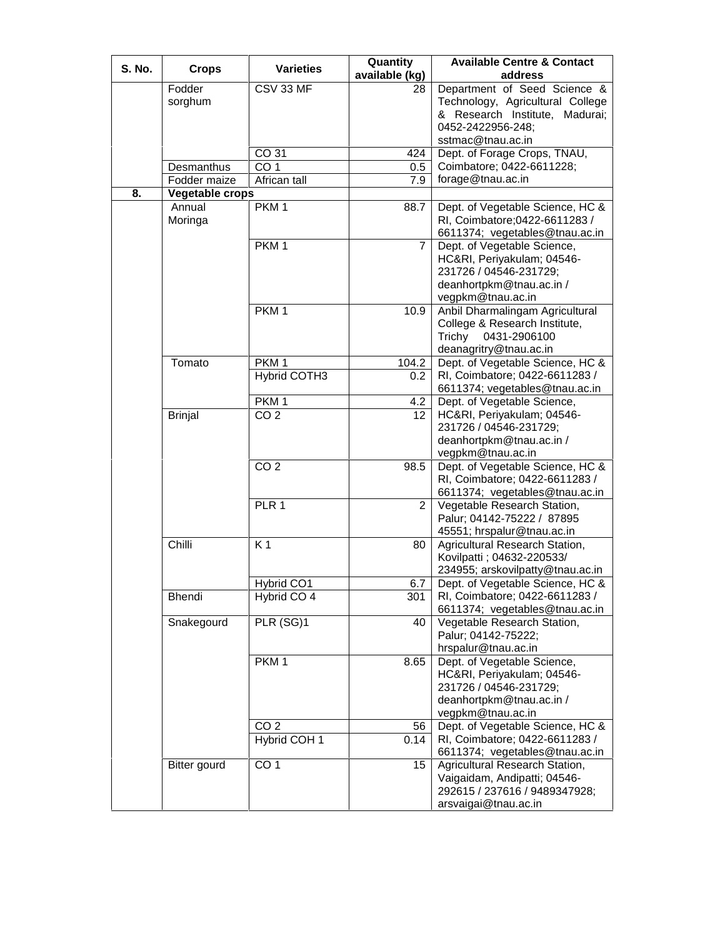| <b>S. No.</b> | <b>Crops</b>        | <b>Varieties</b>    | Quantity       | <b>Available Centre &amp; Contact</b> |
|---------------|---------------------|---------------------|----------------|---------------------------------------|
|               |                     |                     | available (kg) | address                               |
|               | Fodder              | CSV 33 MF           | 28             | Department of Seed Science &          |
|               | sorghum             |                     |                | Technology, Agricultural College      |
|               |                     |                     |                | & Research Institute, Madurai;        |
|               |                     |                     |                | 0452-2422956-248;                     |
|               |                     |                     |                | sstmac@tnau.ac.in                     |
|               |                     | CO 31               | 424            | Dept. of Forage Crops, TNAU,          |
|               | Desmanthus          | CO <sub>1</sub>     | 0.5            | Coimbatore; 0422-6611228;             |
|               | Fodder maize        | African tall        | 7.9            | forage@tnau.ac.in                     |
| 8.            | Vegetable crops     |                     |                |                                       |
|               | Annual              | PKM <sub>1</sub>    | 88.7           | Dept. of Vegetable Science, HC &      |
|               | Moringa             |                     |                | RI, Coimbatore; 0422-6611283 /        |
|               |                     |                     |                | 6611374; vegetables@tnau.ac.in        |
|               |                     | PKM <sub>1</sub>    | $\overline{7}$ | Dept. of Vegetable Science,           |
|               |                     |                     |                | HC&RI, Periyakulam; 04546-            |
|               |                     |                     |                | 231726 / 04546-231729;                |
|               |                     |                     |                | deanhortpkm@tnau.ac.in /              |
|               |                     |                     |                | vegpkm@tnau.ac.in                     |
|               |                     | PKM <sub>1</sub>    | 10.9           | Anbil Dharmalingam Agricultural       |
|               |                     |                     |                | College & Research Institute,         |
|               |                     |                     |                |                                       |
|               |                     |                     |                | Trichy 0431-2906100                   |
|               |                     |                     |                | deanagritry@tnau.ac.in                |
|               | Tomato              | PKM <sub>1</sub>    | 104.2          | Dept. of Vegetable Science, HC &      |
|               |                     | <b>Hybrid COTH3</b> | 0.2            | RI, Coimbatore; 0422-6611283 /        |
|               |                     |                     |                | 6611374; vegetables@tnau.ac.in        |
|               |                     | PKM <sub>1</sub>    | 4.2            | Dept. of Vegetable Science,           |
|               | <b>Brinjal</b>      | CO <sub>2</sub>     | 12             | HC&RI, Periyakulam; 04546-            |
|               |                     |                     |                | 231726 / 04546-231729;                |
|               |                     |                     |                | deanhortpkm@tnau.ac.in /              |
|               |                     |                     |                | vegpkm@tnau.ac.in                     |
|               |                     | CO <sub>2</sub>     | 98.5           | Dept. of Vegetable Science, HC &      |
|               |                     |                     |                | RI, Coimbatore; 0422-6611283 /        |
|               |                     |                     |                | 6611374; vegetables@tnau.ac.in        |
|               |                     | PLR 1               | $\overline{2}$ | Vegetable Research Station,           |
|               |                     |                     |                | Palur; 04142-75222 / 87895            |
|               |                     |                     |                | 45551; hrspalur@tnau.ac.in            |
|               | Chilli              | K <sub>1</sub>      | 80             | Agricultural Research Station,        |
|               |                     |                     |                | Kovilpatti ; 04632-220533/            |
|               |                     |                     |                | 234955; arskovilpatty@tnau.ac.in      |
|               |                     | Hybrid CO1          | 6.7            | Dept. of Vegetable Science, HC &      |
|               | Bhendi              | Hybrid CO 4         | 301            | RI, Coimbatore; 0422-6611283 /        |
|               |                     |                     |                | 6611374; vegetables@tnau.ac.in        |
|               | Snakegourd          | PLR (SG)1           | 40             | Vegetable Research Station,           |
|               |                     |                     |                | Palur; 04142-75222;                   |
|               |                     |                     |                | hrspalur@tnau.ac.in                   |
|               |                     | PKM <sub>1</sub>    |                |                                       |
|               |                     |                     | 8.65           | Dept. of Vegetable Science,           |
|               |                     |                     |                | HC&RI, Periyakulam; 04546-            |
|               |                     |                     |                | 231726 / 04546-231729;                |
|               |                     |                     |                | deanhortpkm@tnau.ac.in /              |
|               |                     |                     |                | vegpkm@tnau.ac.in                     |
|               |                     | CO <sub>2</sub>     | 56             | Dept. of Vegetable Science, HC &      |
|               |                     | Hybrid COH 1        | 0.14           | RI, Coimbatore; 0422-6611283 /        |
|               |                     |                     |                | 6611374; vegetables@tnau.ac.in        |
|               | <b>Bitter gourd</b> | CO <sub>1</sub>     | 15             | Agricultural Research Station,        |
|               |                     |                     |                | Vaigaidam, Andipatti; 04546-          |
|               |                     |                     |                | 292615 / 237616 / 9489347928;         |
|               |                     |                     |                | arsvaigai@tnau.ac.in                  |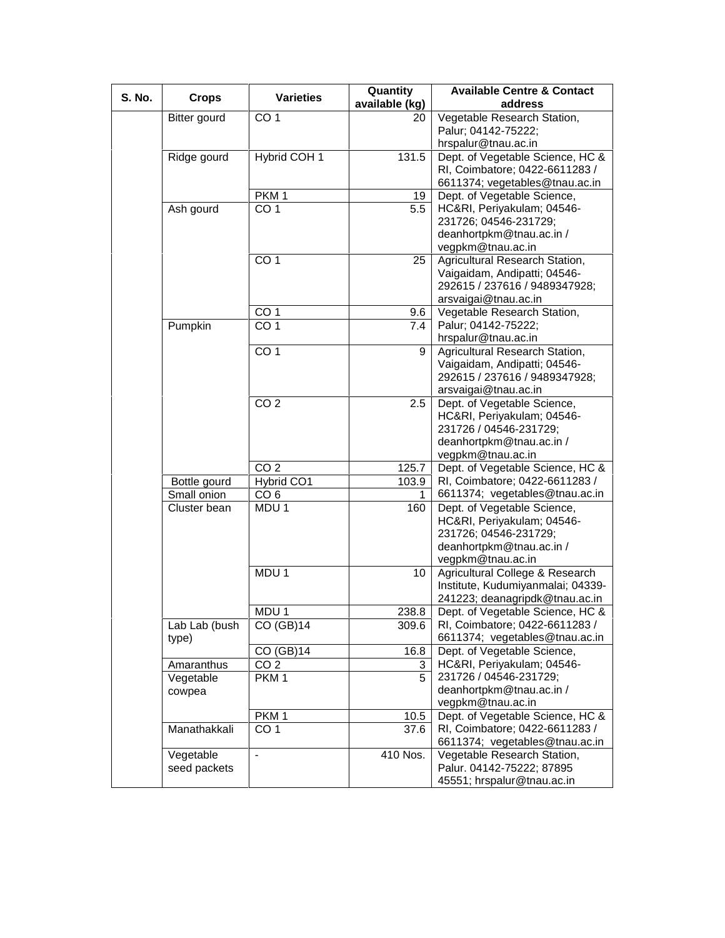| S. No. | <b>Crops</b>  | <b>Varieties</b> | Quantity       | <b>Available Centre &amp; Contact</b> |
|--------|---------------|------------------|----------------|---------------------------------------|
|        |               |                  | available (kg) | address                               |
|        | Bitter gourd  | CO <sub>1</sub>  | 20             | Vegetable Research Station,           |
|        |               |                  |                | Palur; 04142-75222;                   |
|        |               |                  |                | hrspalur@tnau.ac.in                   |
|        | Ridge gourd   | Hybrid COH 1     | 131.5          | Dept. of Vegetable Science, HC &      |
|        |               |                  |                | RI, Coimbatore; 0422-6611283 /        |
|        |               |                  |                | 6611374; vegetables@tnau.ac.in        |
|        |               | PKM <sub>1</sub> | 19             | Dept. of Vegetable Science,           |
|        | Ash gourd     | CO <sub>1</sub>  | 5.5            | HC&RI, Periyakulam; 04546-            |
|        |               |                  |                | 231726; 04546-231729;                 |
|        |               |                  |                | deanhortpkm@tnau.ac.in /              |
|        |               |                  |                | vegpkm@tnau.ac.in                     |
|        |               | CO <sub>1</sub>  | 25             | Agricultural Research Station,        |
|        |               |                  |                | Vaigaidam, Andipatti; 04546-          |
|        |               |                  |                | 292615 / 237616 / 9489347928;         |
|        |               |                  |                | arsvaigai@tnau.ac.in                  |
|        |               | CO <sub>1</sub>  | 9.6            | Vegetable Research Station,           |
|        | Pumpkin       | CO <sub>1</sub>  | 7.4            | Palur; 04142-75222;                   |
|        |               |                  |                | hrspalur@tnau.ac.in                   |
|        |               | CO <sub>1</sub>  | 9              | Agricultural Research Station,        |
|        |               |                  |                | Vaigaidam, Andipatti; 04546-          |
|        |               |                  |                | 292615 / 237616 / 9489347928;         |
|        |               |                  |                | arsvaigai@tnau.ac.in                  |
|        |               | CO <sub>2</sub>  | 2.5            | Dept. of Vegetable Science,           |
|        |               |                  |                | HC&RI, Periyakulam; 04546-            |
|        |               |                  |                | 231726 / 04546-231729;                |
|        |               |                  |                | deanhortpkm@tnau.ac.in /              |
|        |               |                  |                | vegpkm@tnau.ac.in                     |
|        |               | CO <sub>2</sub>  | 125.7          | Dept. of Vegetable Science, HC &      |
|        | Bottle gourd  | Hybrid CO1       | 103.9          | RI, Coimbatore; 0422-6611283 /        |
|        | Small onion   | CO <sub>6</sub>  | 1.             | 6611374; vegetables@tnau.ac.in        |
|        | Cluster bean  | MDU 1            | 160            | Dept. of Vegetable Science,           |
|        |               |                  |                | HC&RI, Periyakulam; 04546-            |
|        |               |                  |                | 231726; 04546-231729;                 |
|        |               |                  |                | deanhortpkm@tnau.ac.in /              |
|        |               |                  |                | vegpkm@tnau.ac.in                     |
|        |               | MDU <sub>1</sub> | 10             | Agricultural College & Research       |
|        |               |                  |                | Institute, Kudumiyanmalai; 04339-     |
|        |               |                  |                | 241223; deanagripdk@tnau.ac.in        |
|        |               | MDU <sub>1</sub> | 238.8          | Dept. of Vegetable Science, HC &      |
|        | Lab Lab (bush | CO (GB)14        | 309.6          | RI, Coimbatore; 0422-6611283 /        |
|        | type)         |                  |                | 6611374; vegetables@tnau.ac.in        |
|        |               | $CO$ (GB)14      | 16.8           | Dept. of Vegetable Science,           |
|        | Amaranthus    | CO <sub>2</sub>  | 3              | HC&RI, Periyakulam; 04546-            |
|        | Vegetable     | PKM <sub>1</sub> | 5              | 231726 / 04546-231729;                |
|        | cowpea        |                  |                | deanhortpkm@tnau.ac.in /              |
|        |               |                  |                | vegpkm@tnau.ac.in                     |
|        |               | PKM <sub>1</sub> | 10.5           | Dept. of Vegetable Science, HC &      |
|        | Manathakkali  | CO <sub>1</sub>  | 37.6           | RI, Coimbatore; 0422-6611283 /        |
|        |               |                  |                | 6611374; vegetables@tnau.ac.in        |
|        | Vegetable     | $\blacksquare$   | 410 Nos.       | Vegetable Research Station,           |
|        | seed packets  |                  |                | Palur. 04142-75222; 87895             |
|        |               |                  |                | 45551; hrspalur@tnau.ac.in            |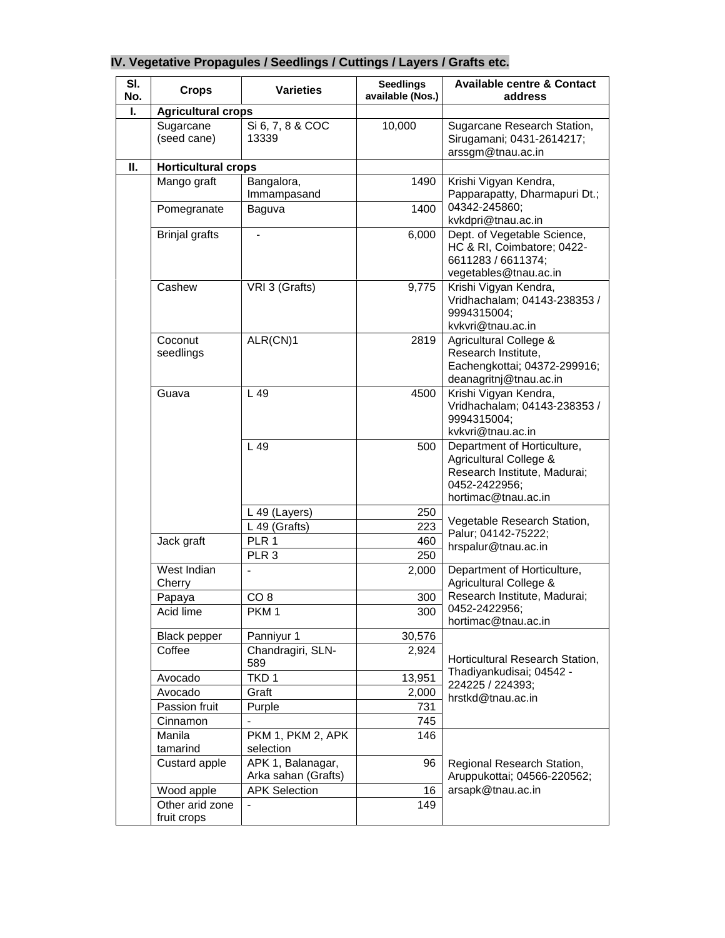| SI.<br>No. | <b>Crops</b>                   | <b>Varieties</b>                         | <b>Seedlings</b><br>available (Nos.) | <b>Available centre &amp; Contact</b><br>address                                                                              |
|------------|--------------------------------|------------------------------------------|--------------------------------------|-------------------------------------------------------------------------------------------------------------------------------|
| Ι.         | <b>Agricultural crops</b>      |                                          |                                      |                                                                                                                               |
|            | Sugarcane<br>(seed cane)       | Si 6, 7, 8 & COC<br>13339                | 10,000                               | Sugarcane Research Station,<br>Sirugamani; 0431-2614217;<br>arssgm@tnau.ac.in                                                 |
| Ш.         | <b>Horticultural crops</b>     |                                          |                                      |                                                                                                                               |
|            | Mango graft<br>Pomegranate     | Bangalora,<br>Immampasand<br>Baguva      | 1490<br>1400                         | Krishi Vigyan Kendra,<br>Papparapatty, Dharmapuri Dt.;<br>04342-245860;                                                       |
|            |                                |                                          |                                      | kvkdpri@tnau.ac.in                                                                                                            |
|            | <b>Brinjal grafts</b>          | $\blacksquare$                           | 6,000                                | Dept. of Vegetable Science,<br>HC & RI, Coimbatore; 0422-<br>6611283 / 6611374;<br>vegetables@tnau.ac.in                      |
|            | Cashew                         | VRI 3 (Grafts)                           | 9,775                                | Krishi Vigyan Kendra,<br>Vridhachalam; 04143-238353 /<br>9994315004;<br>kvkvri@tnau.ac.in                                     |
|            | Coconut<br>seedlings           | ALR(CN)1                                 | 2819                                 | Agricultural College &<br>Research Institute,<br>Eachengkottai; 04372-299916;<br>deanagritnj@tnau.ac.in                       |
|            | Guava                          | L 49                                     | 4500                                 | Krishi Vigyan Kendra,<br>Vridhachalam; 04143-238353 /<br>9994315004;<br>kvkvri@tnau.ac.in                                     |
|            |                                | L 49                                     | 500                                  | Department of Horticulture,<br>Agricultural College &<br>Research Institute, Madurai;<br>0452-2422956;<br>hortimac@tnau.ac.in |
|            |                                | L 49 (Layers)                            | 250                                  |                                                                                                                               |
|            |                                | L 49 (Grafts)                            | 223                                  | Vegetable Research Station,                                                                                                   |
|            | Jack graft                     | PLR 1                                    | 460                                  | Palur; 04142-75222;                                                                                                           |
|            |                                | PLR <sub>3</sub>                         | 250                                  | hrspalur@tnau.ac.in                                                                                                           |
|            | West Indian<br>Cherry          | $\blacksquare$                           | 2,000                                | Department of Horticulture,<br>Agricultural College &                                                                         |
|            | Papaya                         | CO <sub>8</sub>                          | 300                                  | Research Institute, Madurai;                                                                                                  |
|            | Acid lime                      | PKM <sub>1</sub>                         | 300                                  | 0452-2422956;<br>hortimac@tnau.ac.in                                                                                          |
|            | <b>Black pepper</b>            | Panniyur 1                               | 30,576                               |                                                                                                                               |
|            | Coffee                         | Chandragiri, SLN-<br>589                 | 2,924                                | Horticultural Research Station,                                                                                               |
|            | Avocado                        | TKD <sub>1</sub>                         | 13,951                               | Thadiyankudisai; 04542 -<br>224225 / 224393;                                                                                  |
|            | Avocado                        | Graft                                    | 2,000                                | hrstkd@tnau.ac.in                                                                                                             |
|            | Passion fruit                  | Purple                                   | 731                                  |                                                                                                                               |
|            | Cinnamon                       |                                          | 745                                  |                                                                                                                               |
|            | Manila<br>tamarind             | PKM 1, PKM 2, APK<br>selection           | 146                                  |                                                                                                                               |
|            | Custard apple                  | APK 1, Balanagar,<br>Arka sahan (Grafts) | 96                                   | Regional Research Station,<br>Aruppukottai; 04566-220562;                                                                     |
|            | Wood apple                     | <b>APK Selection</b>                     | 16                                   | arsapk@tnau.ac.in                                                                                                             |
|            | Other arid zone<br>fruit crops |                                          | 149                                  |                                                                                                                               |

# **IV. Vegetative Propagules / Seedlings / Cuttings / Layers / Grafts etc.**